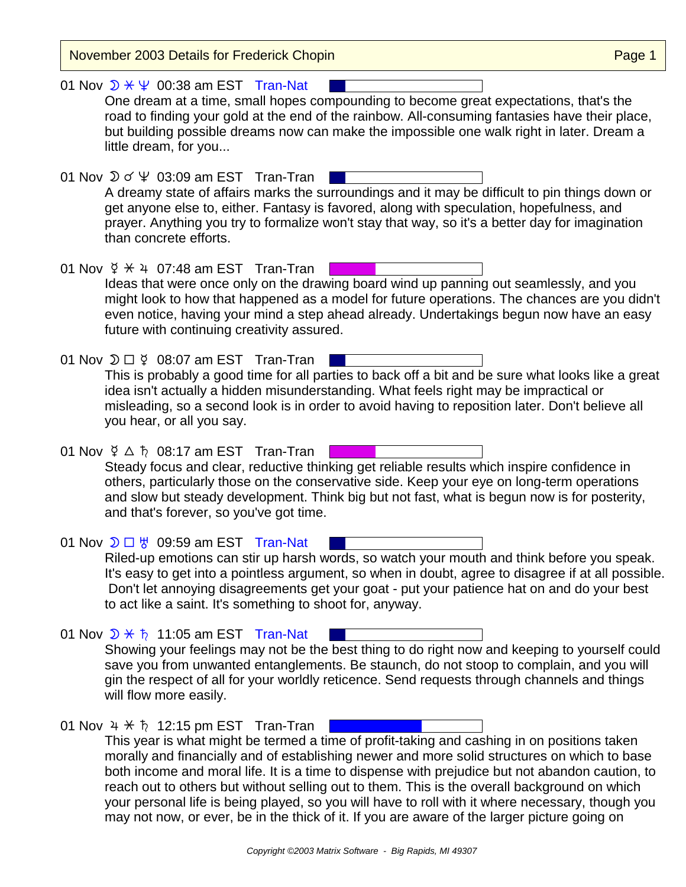November 2003 Details for Frederick Chopin **Page 1** November 2003 Details for Frederick Chopin

01 Nov  $\mathcal{D} \times \Psi$  00:38 am EST Tran-Nat One dream at a time, small hopes compounding to become great expectations, that's the road to finding your gold at the end of the rainbow. All-consuming fantasies have their place, but building possible dreams now can make the impossible one walk right in later. Dream a little dream, for you...

01 Nov  $\mathfrak{D} \circ \Psi$  03:09 am EST Tran-Tran A dreamy state of affairs marks the surroundings and it may be difficult to pin things down or get anyone else to, either. Fantasy is favored, along with speculation, hopefulness, and prayer. Anything you try to formalize won't stay that way, so it's a better day for imagination than concrete efforts.

01 Nov  $\frac{6}{5}$   $\div$  4 07:48 am EST Tran-Tran Ideas that were once only on the drawing board wind up panning out seamlessly, and you might look to how that happened as a model for future operations. The chances are you didn't even notice, having your mind a step ahead already. Undertakings begun now have an easy future with continuing creativity assured.

01 Nov  $\mathfrak{D} \square \nsubseteq 08:07$  am EST Tran-Tran This is probably a good time for all parties to back off a bit and be sure what looks like a great idea isn't actually a hidden misunderstanding. What feels right may be impractical or misleading, so a second look is in order to avoid having to reposition later. Don't believe all

01 Nov  $\frac{6}{7}$   $\triangle$   $\frac{6}{7}$  08:17 am EST Tran-Tran Steady focus and clear, reductive thinking get reliable results which inspire confidence in others, particularly those on the conservative side. Keep your eye on long-term operations and slow but steady development. Think big but not fast, what is begun now is for posterity, and that's forever, so you've got time.

01 Nov  $\mathcal{D} \square \; \forall$  09:59 am EST Tran-Nat Riled-up emotions can stir up harsh words, so watch your mouth and think before you speak. It's easy to get into a pointless argument, so when in doubt, agree to disagree if at all possible. Don't let annoying disagreements get your goat - put your patience hat on and do your best to act like a saint. It's something to shoot for, anyway.

- 01 Nov  $\mathcal{D} \times \mathfrak{h}$  11:05 am EST Tran-Nat Showing your feelings may not be the best thing to do right now and keeping to yourself could save you from unwanted entanglements. Be staunch, do not stoop to complain, and you will gin the respect of all for your worldly reticence. Send requests through channels and things will flow more easily.
- 01 Nov  $4 \times \hbar$  12:15 pm EST Tran-Tran |

you hear, or all you say.

This year is what might be termed a time of profit-taking and cashing in on positions taken morally and financially and of establishing newer and more solid structures on which to base both income and moral life. It is a time to dispense with prejudice but not abandon caution, to reach out to others but without selling out to them. This is the overall background on which your personal life is being played, so you will have to roll with it where necessary, though you may not now, or ever, be in the thick of it. If you are aware of the larger picture going on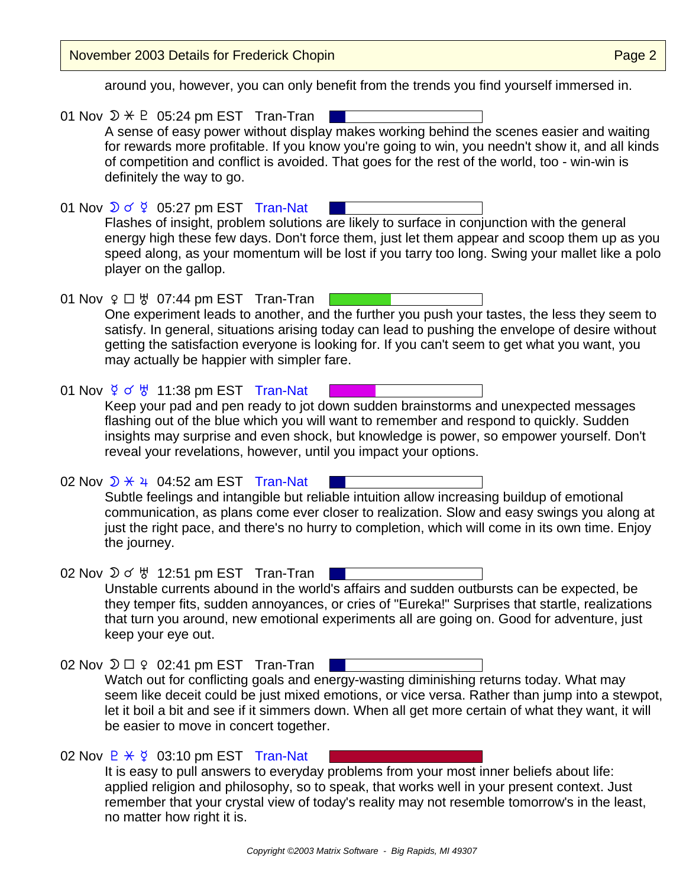November 2003 Details for Frederick Chopin **Page 2** and Page 2

around you, however, you can only benefit from the trends you find yourself immersed in.

01 Nov  $\mathcal{D} \times \mathbb{P}$  05:24 pm EST Tran-Tran A sense of easy power without display makes working behind the scenes easier and waiting for rewards more profitable. If you know you're going to win, you needn't show it, and all kinds of competition and conflict is avoided. That goes for the rest of the world, too - win-win is definitely the way to go. 01 Nov  $\sqrt{2}$  of  $\frac{6}{5}$  05:27 pm EST Tran-Nat Flashes of insight, problem solutions are likely to surface in conjunction with the general energy high these few days. Don't force them, just let them appear and scoop them up as you speed along, as your momentum will be lost if you tarry too long. Swing your mallet like a polo player on the gallop. 01 Nov  $9 \Box \forall$  07:44 pm EST Tran-Tran [ One experiment leads to another, and the further you push your tastes, the less they seem to satisfy. In general, situations arising today can lead to pushing the envelope of desire without getting the satisfaction everyone is looking for. If you can't seem to get what you want, you may actually be happier with simpler fare. 01 Nov  $\frac{6}{5}$  o'  $\frac{11}{38}$  pm EST Tran-Nat Keep your pad and pen ready to jot down sudden brainstorms and unexpected messages flashing out of the blue which you will want to remember and respond to quickly. Sudden insights may surprise and even shock, but knowledge is power, so empower yourself. Don't reveal your revelations, however, until you impact your options. 02 Nov  $\overline{D}$   $\overline{X}$   $\overline{4}$  04:52 am EST Tran-Nat Subtle feelings and intangible but reliable intuition allow increasing buildup of emotional communication, as plans come ever closer to realization. Slow and easy swings you along at just the right pace, and there's no hurry to completion, which will come in its own time. Enjoy the journey. 02 Nov  $\mathfrak{D} \circ \mathfrak{B}$  12:51 pm EST Tran-Tran Unstable currents abound in the world's affairs and sudden outbursts can be expected, be they temper fits, sudden annoyances, or cries of "Eureka!" Surprises that startle, realizations that turn you around, new emotional experiments all are going on. Good for adventure, just keep your eye out. 02 Nov  $\mathfrak{D} \square$   $\varphi$  02:41 pm EST Tran-Tran Watch out for conflicting goals and energy-wasting diminishing returns today. What may seem like deceit could be just mixed emotions, or vice versa. Rather than jump into a stewpot, let it boil a bit and see if it simmers down. When all get more certain of what they want, it will be easier to move in concert together. 02 Nov  $P \times \varphi$  03:10 pm EST Tran-Nat It is easy to pull answers to everyday problems from your most inner beliefs about life: applied religion and philosophy, so to speak, that works well in your present context. Just remember that your crystal view of today's reality may not resemble tomorrow's in the least,

no matter how right it is.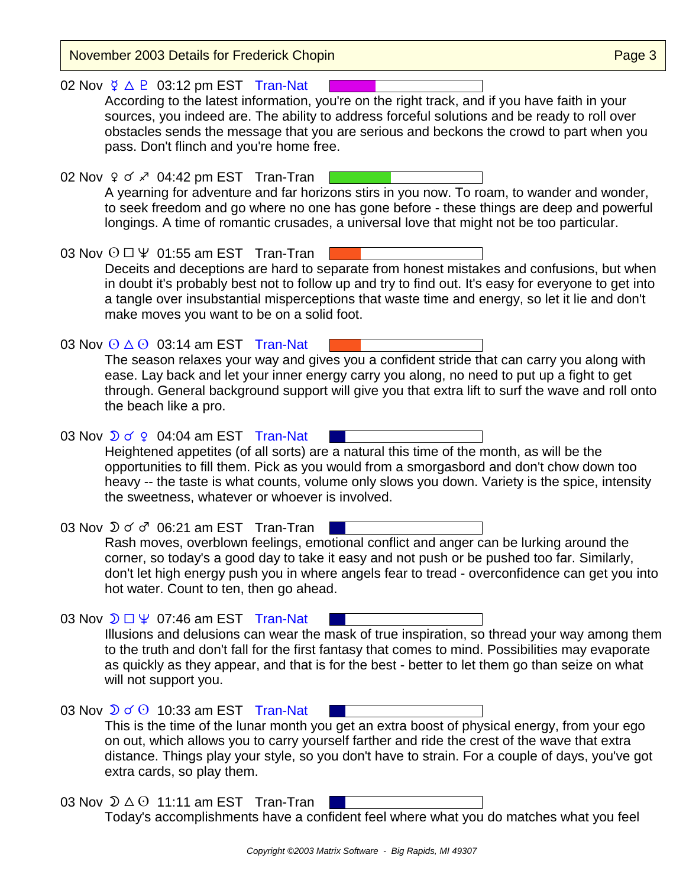| November 2003 Details for Frederick Chopin                                                                                                                                                                                                                                                                                                                                                               | Page 3 |
|----------------------------------------------------------------------------------------------------------------------------------------------------------------------------------------------------------------------------------------------------------------------------------------------------------------------------------------------------------------------------------------------------------|--------|
| 02 Nov $\frac{6}{7}$ $\triangle$ P 03:12 pm EST Tran-Nat<br>According to the latest information, you're on the right track, and if you have faith in your<br>sources, you indeed are. The ability to address forceful solutions and be ready to roll over<br>obstacles sends the message that you are serious and beckons the crowd to part when you<br>pass. Don't flinch and you're home free.         |        |
| 02 Nov ♀ o ∡ 04:42 pm EST Tran-Tran<br>A yearning for adventure and far horizons stirs in you now. To roam, to wander and wonder,<br>to seek freedom and go where no one has gone before - these things are deep and powerful<br>longings. A time of romantic crusades, a universal love that might not be too particular.                                                                               |        |
| 03 Nov $\odot$ $\Box$ $\Psi$ 01:55 am EST Tran-Tran<br>Deceits and deceptions are hard to separate from honest mistakes and confusions, but when<br>in doubt it's probably best not to follow up and try to find out. It's easy for everyone to get into<br>a tangle over insubstantial misperceptions that waste time and energy, so let it lie and don't<br>make moves you want to be on a solid foot. |        |
| 03 Nov $\odot$ $\triangle$ $\odot$ 03:14 am EST Tran-Nat<br>The season relaxes your way and gives you a confident stride that can carry you along with<br>ease. Lay back and let your inner energy carry you along, no need to put up a fight to get<br>through. General background support will give you that extra lift to surf the wave and roll onto<br>the beach like a pro.                        |        |
| 03 Nov $\sqrt{2}$ o' $\sqrt{2}$ 04:04 am EST Tran-Nat<br>Heightened appetites (of all sorts) are a natural this time of the month, as will be the<br>opportunities to fill them. Pick as you would from a smorgasbord and don't chow down too<br>heavy -- the taste is what counts, volume only slows you down. Variety is the spice, intensity<br>the sweetness, whatever or whoever is involved.       |        |
| 03 Nov $\mathfrak{D} \sigma \sigma$ 06:21 am EST Tran-Tran<br>Rash moves, overblown feelings, emotional conflict and anger can be lurking around the<br>corner, so today's a good day to take it easy and not push or be pushed too far. Similarly,<br>don't let high energy push you in where angels fear to tread - overconfidence can get you into<br>hot water. Count to ten, then go ahead.         |        |
| 03 Nov $\mathfrak{D} \square \Psi$ 07:46 am EST Tran-Nat<br>Illusions and delusions can wear the mask of true inspiration, so thread your way among them<br>to the truth and don't fall for the first fantasy that comes to mind. Possibilities may evaporate<br>as quickly as they appear, and that is for the best - better to let them go than seize on what<br>will not support you.                 |        |
| 03 Nov $\sqrt{2}$ of $\odot$ 10:33 am EST Tran-Nat<br>This is the time of the lunar month you get an extra boost of physical energy, from your ego<br>on out, which allows you to carry yourself farther and ride the crest of the wave that extra<br>distance. Things play your style, so you don't have to strain. For a couple of days, you've got<br>extra cards, so play them.                      |        |
| 03 Nov $\mathfrak{D} \triangle \Theta$ 11:11 am EST Tran-Tran                                                                                                                                                                                                                                                                                                                                            |        |

Today's accomplishments have a confident feel where what you do matches what you feel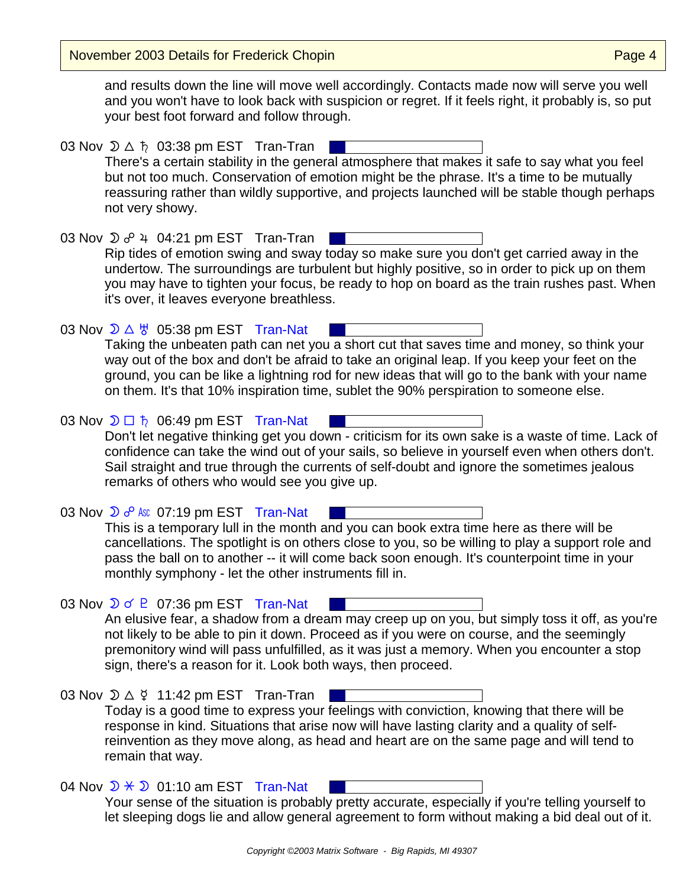November 2003 Details for Frederick Chopin **Page 1** November 2003 Details for Frederick Chopin

and results down the line will move well accordingly. Contacts made now will serve you well and you won't have to look back with suspicion or regret. If it feels right, it probably is, so put your best foot forward and follow through.

03 Nov  $\mathfrak{D} \triangle \hbar$  03:38 pm EST Tran-Tran There's a certain stability in the general atmosphere that makes it safe to say what you feel but not too much. Conservation of emotion might be the phrase. It's a time to be mutually reassuring rather than wildly supportive, and projects launched will be stable though perhaps not very showy.

03 Nov  $\mathfrak{D}$   $\sigma^{\circ}$  4 04:21 pm EST Tran-Tran | Rip tides of emotion swing and sway today so make sure you don't get carried away in the undertow. The surroundings are turbulent but highly positive, so in order to pick up on them you may have to tighten your focus, be ready to hop on board as the train rushes past. When it's over, it leaves everyone breathless.

03 Nov  $\mathcal{D} \triangle \forall$  05:38 pm EST Tran-Nat Taking the unbeaten path can net you a short cut that saves time and money, so think your way out of the box and don't be afraid to take an original leap. If you keep your feet on the ground, you can be like a lightning rod for new ideas that will go to the bank with your name on them. It's that 10% inspiration time, sublet the 90% perspiration to someone else.

03 Nov  $\mathfrak{D} \square$   $\hbar$  06:49 pm EST Tran-Nat Don't let negative thinking get you down - criticism for its own sake is a waste of time. Lack of confidence can take the wind out of your sails, so believe in yourself even when others don't. Sail straight and true through the currents of self-doubt and ignore the sometimes jealous remarks of others who would see you give up.

03 Nov  $\sum o^{\circ}$  Asc 07:19 pm EST Tran-Nat This is a temporary lull in the month and you can book extra time here as there will be cancellations. The spotlight is on others close to you, so be willing to play a support role and pass the ball on to another -- it will come back soon enough. It's counterpoint time in your monthly symphony - let the other instruments fill in.

03 Nov  $\sqrt{D}$  of P 07:36 pm EST Tran-Nat An elusive fear, a shadow from a dream may creep up on you, but simply toss it off, as you're not likely to be able to pin it down. Proceed as if you were on course, and the seemingly premonitory wind will pass unfulfilled, as it was just a memory. When you encounter a stop sign, there's a reason for it. Look both ways, then proceed.

03 Nov  $\mathcal{D} \triangle \n\begin{bmatrix} 1 & 1 & 42 \\ 0 & 1 & 1 & 1 \end{bmatrix}$  pm EST Tran-Tran Today is a good time to express your feelings with conviction, knowing that there will be response in kind. Situations that arise now will have lasting clarity and a quality of selfreinvention as they move along, as head and heart are on the same page and will tend to remain that way.

04 Nov  $\mathcal{D} \times \mathcal{D}$  01:10 am EST Tran-Nat Your sense of the situation is probably pretty accurate, especially if you're telling yourself to let sleeping dogs lie and allow general agreement to form without making a bid deal out of it.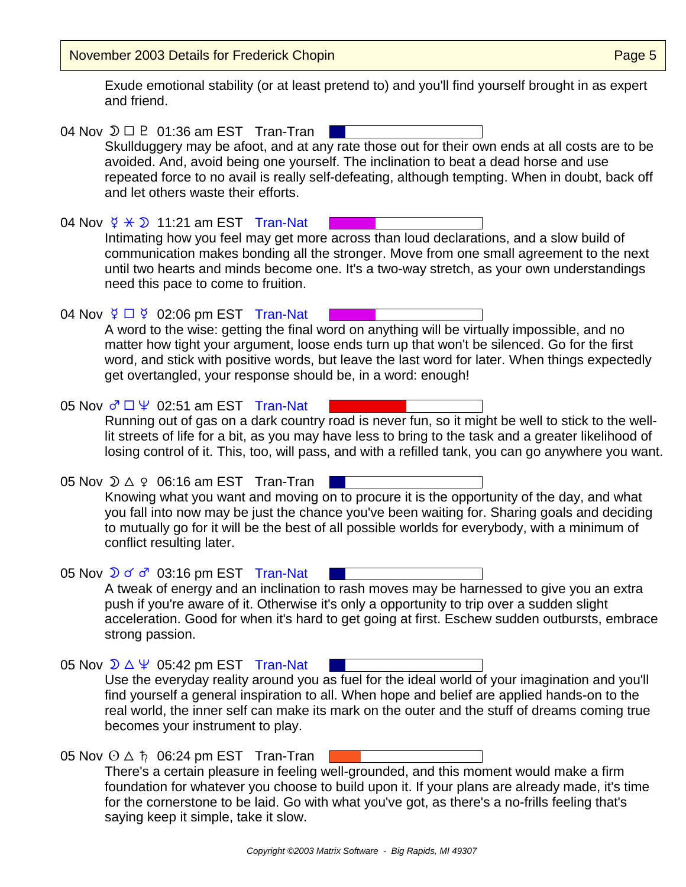November 2003 Details for Frederick Chopin **Page 10** November 2003 Details for Frederick Chopin

Exude emotional stability (or at least pretend to) and you'll find yourself brought in as expert and friend.

04 Nov  $\mathfrak{D} \square \square$  01:36 am EST Tran-Tran | Skullduggery may be afoot, and at any rate those out for their own ends at all costs are to be avoided. And, avoid being one yourself. The inclination to beat a dead horse and use repeated force to no avail is really self-defeating, although tempting. When in doubt, back off and let others waste their efforts. 04 Nov  $\frac{6}{5}$   $\times$  0 11:21 am EST Tran-Nat Intimating how you feel may get more across than loud declarations, and a slow build of communication makes bonding all the stronger. Move from one small agreement to the next until two hearts and minds become one. It's a two-way stretch, as your own understandings need this pace to come to fruition. 04 Nov  $\frac{6}{7}$   $\Box$   $\frac{6}{7}$  02:06 pm EST Tran-Nat A word to the wise: getting the final word on anything will be virtually impossible, and no matter how tight your argument, loose ends turn up that won't be silenced. Go for the first word, and stick with positive words, but leave the last word for later. When things expectedly get overtangled, your response should be, in a word: enough! 05 Nov  $\sigma \Box \Psi$  02:51 am EST Tran-Nat Running out of gas on a dark country road is never fun, so it might be well to stick to the welllit streets of life for a bit, as you may have less to bring to the task and a greater likelihood of losing control of it. This, too, will pass, and with a refilled tank, you can go anywhere you want. 05 Nov  $\mathcal{D} \triangle 9$  06:16 am EST Tran-Tran Knowing what you want and moving on to procure it is the opportunity of the day, and what you fall into now may be just the chance you've been waiting for. Sharing goals and deciding to mutually go for it will be the best of all possible worlds for everybody, with a minimum of conflict resulting later. 05 Nov  $\sqrt{2}$  o' 03:16 pm EST Tran-Nat A tweak of energy and an inclination to rash moves may be harnessed to give you an extra push if you're aware of it. Otherwise it's only a opportunity to trip over a sudden slight acceleration. Good for when it's hard to get going at first. Eschew sudden outbursts, embrace strong passion. 05 Nov  $\sqrt{2}$   $\Delta \Psi$  05:42 pm EST Tran-Nat Use the everyday reality around you as fuel for the ideal world of your imagination and you'll find yourself a general inspiration to all. When hope and belief are applied hands-on to the real world, the inner self can make its mark on the outer and the stuff of dreams coming true becomes your instrument to play. 05 Nov  $\odot$   $\Delta$   $\hbar$  06:24 pm EST Tran-Tran There's a certain pleasure in feeling well-grounded, and this moment would make a firm foundation for whatever you choose to build upon it. If your plans are already made, it's time for the cornerstone to be laid. Go with what you've got, as there's a no-frills feeling that's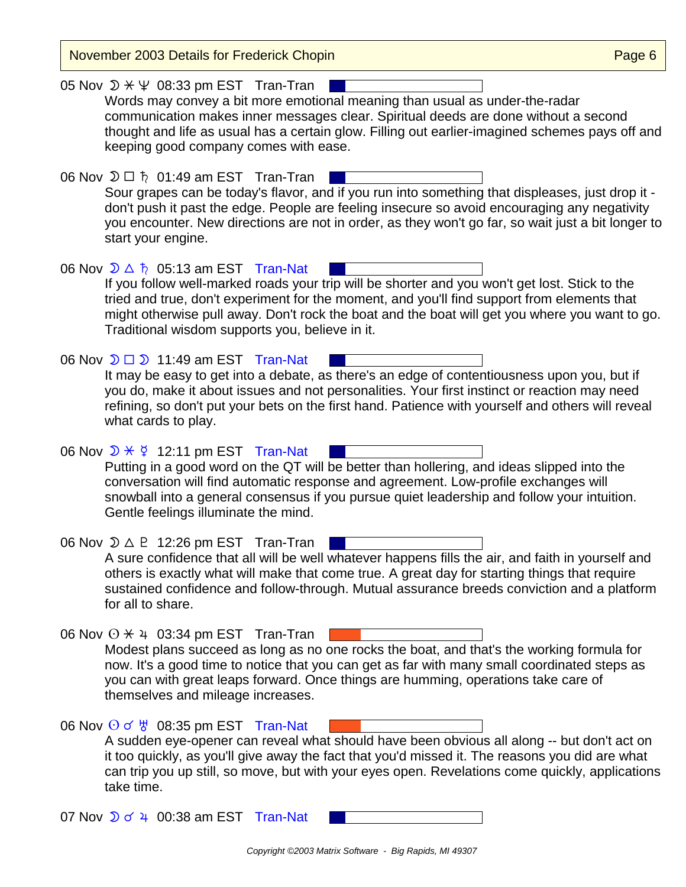| <b>November 2003 Details for Frederick Chopin</b>                                                                                                                                                                                                                                                                                                                                                                | Page 6 |
|------------------------------------------------------------------------------------------------------------------------------------------------------------------------------------------------------------------------------------------------------------------------------------------------------------------------------------------------------------------------------------------------------------------|--------|
| 05 Nov $\mathcal{D} \times \Psi$ 08:33 pm EST Tran-Tran<br>Words may convey a bit more emotional meaning than usual as under-the-radar<br>communication makes inner messages clear. Spiritual deeds are done without a second<br>thought and life as usual has a certain glow. Filling out earlier-imagined schemes pays off and<br>keeping good company comes with ease.                                        |        |
| 06 Nov $\mathfrak{D} \Box$ ħ 01:49 am EST Tran-Tran<br>Sour grapes can be today's flavor, and if you run into something that displeases, just drop it -<br>don't push it past the edge. People are feeling insecure so avoid encouraging any negativity<br>you encounter. New directions are not in order, as they won't go far, so wait just a bit longer to<br>start your engine.                              |        |
| 06 Nov $\mathcal{D} \triangle \hbar$ 05:13 am EST Tran-Nat<br>If you follow well-marked roads your trip will be shorter and you won't get lost. Stick to the<br>tried and true, don't experiment for the moment, and you'll find support from elements that<br>might otherwise pull away. Don't rock the boat and the boat will get you where you want to go.<br>Traditional wisdom supports you, believe in it. |        |
| 06 Nov $\mathfrak{D} \square \mathfrak{D}$ 11:49 am EST Tran-Nat<br>It may be easy to get into a debate, as there's an edge of contentiousness upon you, but if<br>you do, make it about issues and not personalities. Your first instinct or reaction may need<br>refining, so don't put your bets on the first hand. Patience with yourself and others will reveal<br>what cards to play.                      |        |
| 06 Nov $\mathcal{D} \times \mathcal{G}$ 12:11 pm EST Tran-Nat<br>Putting in a good word on the QT will be better than hollering, and ideas slipped into the<br>conversation will find automatic response and agreement. Low-profile exchanges will<br>snowball into a general consensus if you pursue quiet leadership and follow your intuition.<br>Gentle feelings illuminate the mind.                        |        |
| 06 Nov $\mathcal{D} \triangle P$ 12:26 pm EST Tran-Tran<br>A sure confidence that all will be well whatever happens fills the air, and faith in yourself and<br>others is exactly what will make that come true. A great day for starting things that require<br>sustained confidence and follow-through. Mutual assurance breeds conviction and a platform<br>for all to share.                                 |        |
| 06 Nov $\odot$ $\star$ 4 03:34 pm EST Tran-Tran<br>Modest plans succeed as long as no one rocks the boat, and that's the working formula for<br>now. It's a good time to notice that you can get as far with many small coordinated steps as<br>you can with great leaps forward. Once things are humming, operations take care of<br>themselves and mileage increases.                                          |        |
| 06 Nov $\odot$ o' $\frac{11}{9}$ 08:35 pm EST Tran-Nat<br>A sudden eye-opener can reveal what should have been obvious all along -- but don't act on<br>it too quickly, as you'll give away the fact that you'd missed it. The reasons you did are what<br>can trip you up still, so move, but with your eyes open. Revelations come quickly, applications<br>take time.                                         |        |
| 07 Nov $\sqrt{2}$ o' 4 00:38 am EST Tran-Nat                                                                                                                                                                                                                                                                                                                                                                     |        |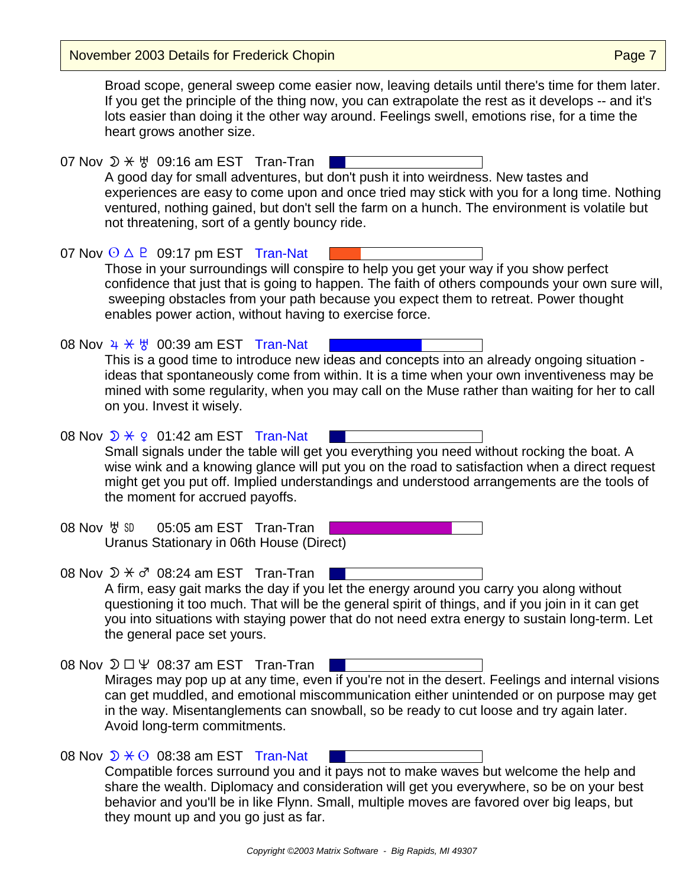November 2003 Details for Frederick Chopin **Page 7** November 2003 Details for Frederick Chopin

Broad scope, general sweep come easier now, leaving details until there's time for them later. If you get the principle of the thing now, you can extrapolate the rest as it develops -- and it's lots easier than doing it the other way around. Feelings swell, emotions rise, for a time the heart grows another size.

07 Nov  $\mathcal{D} \times \mathcal{Y}$  09:16 am EST Tran-Tran A good day for small adventures, but don't push it into weirdness. New tastes and experiences are easy to come upon and once tried may stick with you for a long time. Nothing ventured, nothing gained, but don't sell the farm on a hunch. The environment is volatile but not threatening, sort of a gently bouncy ride.

07 Nov  $\odot$   $\triangle$   $\odot$  09:17 pm EST Tran-Nat Those in your surroundings will conspire to help you get your way if you show perfect confidence that just that is going to happen. The faith of others compounds your own sure will, sweeping obstacles from your path because you expect them to retreat. Power thought enables power action, without having to exercise force.

08 Nov  $4 \times 7$  00:39 am EST Tran-Nat This is a good time to introduce new ideas and concepts into an already ongoing situation ideas that spontaneously come from within. It is a time when your own inventiveness may be mined with some regularity, when you may call on the Muse rather than waiting for her to call on you. Invest it wisely.

08 Nov  $\sqrt{D}$   $\angle$   $\varphi$  01:42 am EST Tran-Nat Small signals under the table will get you everything you need without rocking the boat. A wise wink and a knowing glance will put you on the road to satisfaction when a direct request might get you put off. Implied understandings and understood arrangements are the tools of the moment for accrued payoffs.

- 08 Nov  $\frac{1}{2}$   $\frac{1}{2}$  05:05 am EST Tran-Tran Uranus Stationary in 06th House (Direct)
- 08 Nov  $\mathcal{D} \times \sigma^r$  08:24 am EST Tran-Tran A firm, easy gait marks the day if you let the energy around you carry you along without questioning it too much. That will be the general spirit of things, and if you join in it can get you into situations with staying power that do not need extra energy to sustain long-term. Let the general pace set yours.
- 08 Nov  $\mathfrak{D} \square \Psi$  08:37 am EST Tran-Tran Mirages may pop up at any time, even if you're not in the desert. Feelings and internal visions can get muddled, and emotional miscommunication either unintended or on purpose may get in the way. Misentanglements can snowball, so be ready to cut loose and try again later. Avoid long-term commitments.

| 08 Nov $\mathcal{D} \times \mathcal{O}$ 08:38 am EST Tran-Nat                               |
|---------------------------------------------------------------------------------------------|
| Compatible forces surround you and it pays not to make waves but welcome the help and       |
| share the wealth. Diplomacy and consideration will get you everywhere, so be on your best   |
| behavior and you'll be in like Flynn. Small, multiple moves are favored over big leaps, but |
| they mount up and you go just as far.                                                       |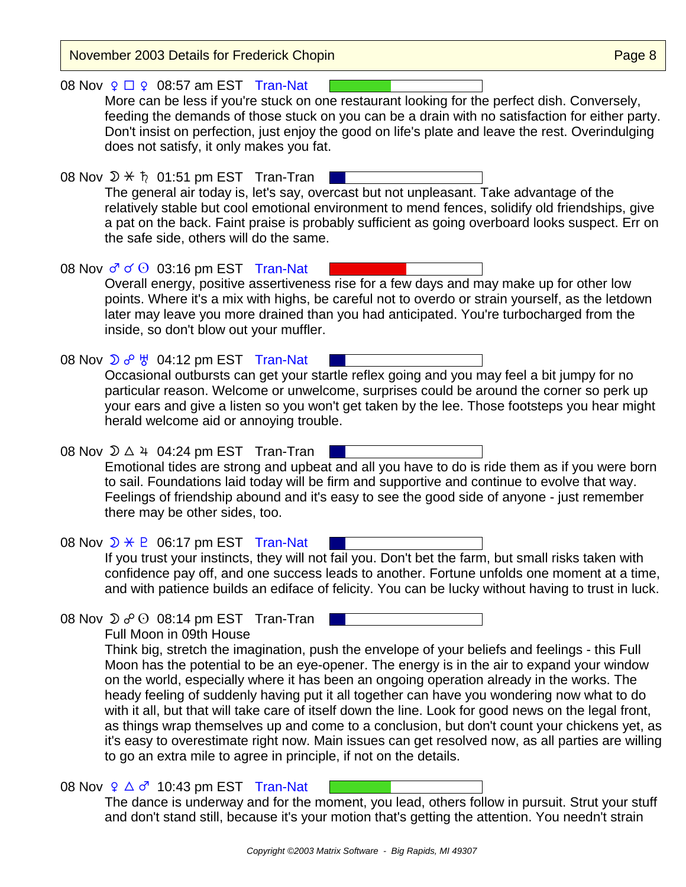November 2003 Details for Frederick Chopin **Page 19th Chopin** Page 8 08 Nov  $9 \square 9$  08:57 am EST Tran-Nat More can be less if you're stuck on one restaurant looking for the perfect dish. Conversely, feeding the demands of those stuck on you can be a drain with no satisfaction for either party. Don't insist on perfection, just enjoy the good on life's plate and leave the rest. Overindulging does not satisfy, it only makes you fat. 08 Nov  $\mathcal{D} \times \mathfrak{h}$  01:51 pm EST Tran-Tran | The general air today is, let's say, overcast but not unpleasant. Take advantage of the relatively stable but cool emotional environment to mend fences, solidify old friendships, give a pat on the back. Faint praise is probably sufficient as going overboard looks suspect. Err on the safe side, others will do the same. 08 Nov  $\sigma \propto \Theta$  03:16 pm EST Tran-Nat Overall energy, positive assertiveness rise for a few days and may make up for other low points. Where it's a mix with highs, be careful not to overdo or strain yourself, as the letdown later may leave you more drained than you had anticipated. You're turbocharged from the inside, so don't blow out your muffler. 08 Nov  $\sum c^0$   $\frac{11}{6}$  04:12 pm EST Tran-Nat Occasional outbursts can get your startle reflex going and you may feel a bit jumpy for no particular reason. Welcome or unwelcome, surprises could be around the corner so perk up your ears and give a listen so you won't get taken by the lee. Those footsteps you hear might herald welcome aid or annoying trouble. 08 Nov  $\mathfrak{D} \triangle 4$  04:24 pm EST Tran-Tran Emotional tides are strong and upbeat and all you have to do is ride them as if you were born to sail. Foundations laid today will be firm and supportive and continue to evolve that way. Feelings of friendship abound and it's easy to see the good side of anyone - just remember there may be other sides, too. 08 Nov  $\mathcal{D} \times \mathsf{P}$  06:17 pm EST Tran-Nat If you trust your instincts, they will not fail you. Don't bet the farm, but small risks taken with confidence pay off, and one success leads to another. Fortune unfolds one moment at a time, and with patience builds an ediface of felicity. You can be lucky without having to trust in luck. 08 Nov  $\mathfrak{D} \circ \mathfrak{O}$  08:14 pm EST Tran-Tran Full Moon in 09th House Think big, stretch the imagination, push the envelope of your beliefs and feelings - this Full Moon has the potential to be an eye-opener. The energy is in the air to expand your window on the world, especially where it has been an ongoing operation already in the works. The heady feeling of suddenly having put it all together can have you wondering now what to do with it all, but that will take care of itself down the line. Look for good news on the legal front, as things wrap themselves up and come to a conclusion, but don't count your chickens yet, as it's easy to overestimate right now. Main issues can get resolved now, as all parties are willing to go an extra mile to agree in principle, if not on the details. 08 Nov  $9 \triangle 7$  10:43 pm EST Tran-Nat The dance is underway and for the moment, you lead, others follow in pursuit. Strut your stuff and don't stand still, because it's your motion that's getting the attention. You needn't strain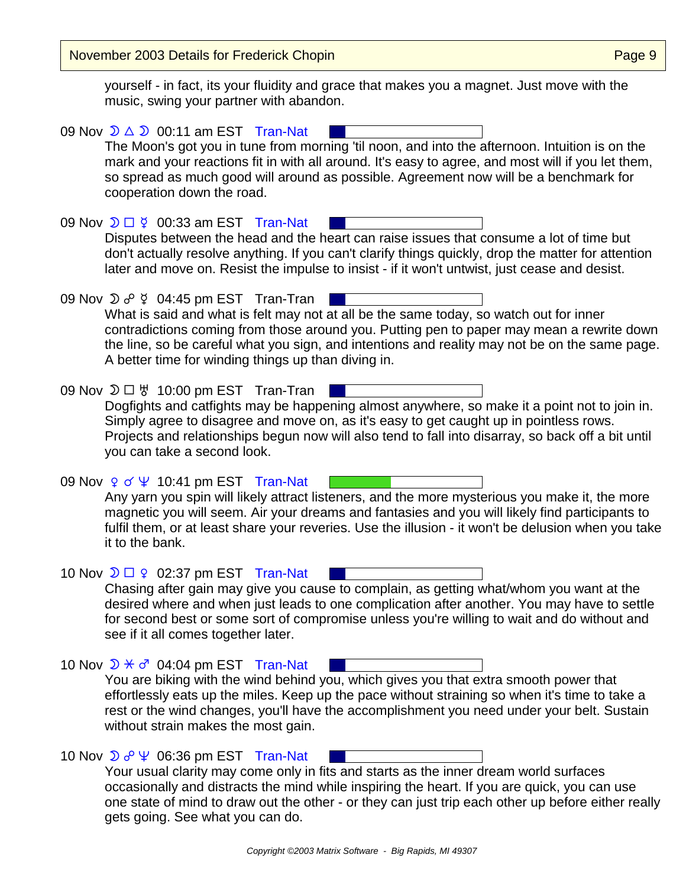November 2003 Details for Frederick Chopin **Page 19th Chopin** Page 9

yourself - in fact, its your fluidity and grace that makes you a magnet. Just move with the music, swing your partner with abandon.

09 Nov  $\mathcal{D} \triangle \mathcal{D}$  00:11 am EST Tran-Nat The Moon's got you in tune from morning 'til noon, and into the afternoon. Intuition is on the mark and your reactions fit in with all around. It's easy to agree, and most will if you let them, so spread as much good will around as possible. Agreement now will be a benchmark for cooperation down the road. 09 Nov  $\mathfrak{D} \square \nsubseteq$  00:33 am EST Tran-Nat Disputes between the head and the heart can raise issues that consume a lot of time but don't actually resolve anything. If you can't clarify things quickly, drop the matter for attention later and move on. Resist the impulse to insist - if it won't untwist, just cease and desist. 09 Nov  $\sum \sigma^0 \notin 04:45$  pm EST Tran-Tran and the contract What is said and what is felt may not at all be the same today, so watch out for inner contradictions coming from those around you. Putting pen to paper may mean a rewrite down the line, so be careful what you sign, and intentions and reality may not be on the same page. A better time for winding things up than diving in. 09 Nov  $\mathfrak{D} \square \, \mathfrak{B}$  10:00 pm EST Tran-Tran | Dogfights and catfights may be happening almost anywhere, so make it a point not to join in. Simply agree to disagree and move on, as it's easy to get caught up in pointless rows. Projects and relationships begun now will also tend to fall into disarray, so back off a bit until you can take a second look. 09 Nov  $9 \times 4$  10:41 pm EST Tran-Nat Any yarn you spin will likely attract listeners, and the more mysterious you make it, the more magnetic you will seem. Air your dreams and fantasies and you will likely find participants to fulfil them, or at least share your reveries. Use the illusion - it won't be delusion when you take it to the bank. 10 Nov  $\mathfrak{D} \square$   $\varphi$  02:37 pm EST Tran-Nat Chasing after gain may give you cause to complain, as getting what/whom you want at the desired where and when just leads to one complication after another. You may have to settle for second best or some sort of compromise unless you're willing to wait and do without and see if it all comes together later. 10 Nov  $\mathcal{D} \times \sigma^r$  04:04 pm EST Tran-Nat You are biking with the wind behind you, which gives you that extra smooth power that effortlessly eats up the miles. Keep up the pace without straining so when it's time to take a rest or the wind changes, you'll have the accomplishment you need under your belt. Sustain without strain makes the most gain. 10 Nov  $\mathcal{D} \circ \mathcal{P} \not\subseteq 06:36$  pm EST Tran-Nat Your usual clarity may come only in fits and starts as the inner dream world surfaces occasionally and distracts the mind while inspiring the heart. If you are quick, you can use one state of mind to draw out the other - or they can just trip each other up before either really gets going. See what you can do.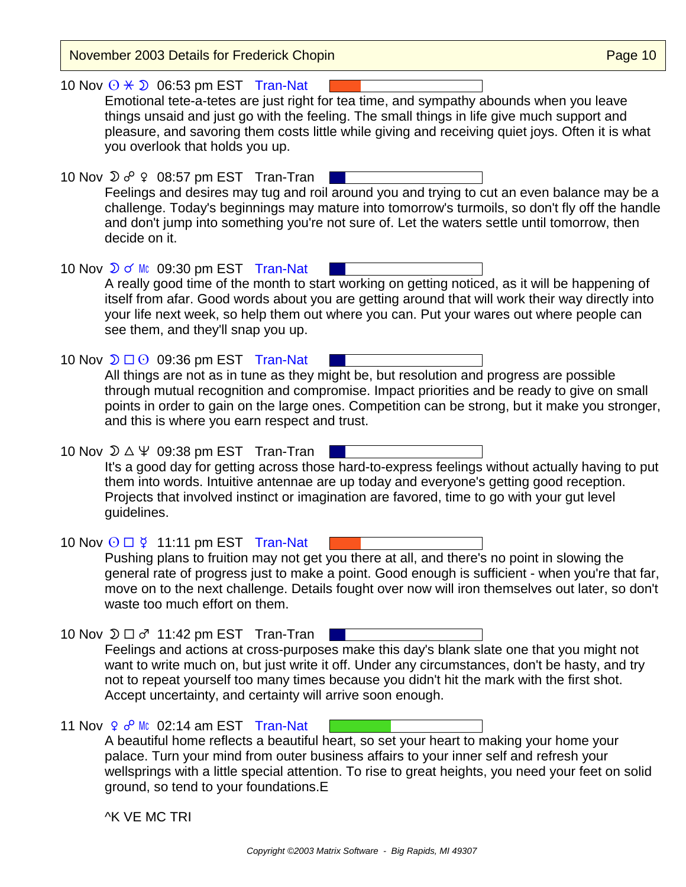| November 2003 Details for Frederick Chopin                                                                                                                                                                                                                                                                                                                                                                               | Page 10 |
|--------------------------------------------------------------------------------------------------------------------------------------------------------------------------------------------------------------------------------------------------------------------------------------------------------------------------------------------------------------------------------------------------------------------------|---------|
| 10 Nov $\odot \star \odot 06:53$ pm EST Tran-Nat<br>Emotional tete-a-tetes are just right for tea time, and sympathy abounds when you leave<br>things unsaid and just go with the feeling. The small things in life give much support and<br>pleasure, and savoring them costs little while giving and receiving quiet joys. Often it is what<br>you overlook that holds you up.                                         |         |
| 10 Nov $\mathfrak{D}$ $\sigma^0$ $\varphi$ 08:57 pm EST Tran-Tran<br>Feelings and desires may tug and roil around you and trying to cut an even balance may be a<br>challenge. Today's beginnings may mature into tomorrow's turmoils, so don't fly off the handle<br>and don't jump into something you're not sure of. Let the waters settle until tomorrow, then<br>decide on it.                                      |         |
| 10 Nov $\sqrt{2}$ of Mc 09:30 pm EST Tran-Nat<br>A really good time of the month to start working on getting noticed, as it will be happening of<br>itself from afar. Good words about you are getting around that will work their way directly into<br>your life next week, so help them out where you can. Put your wares out where people can<br>see them, and they'll snap you up.                                   |         |
| 10 Nov $\mathfrak{D} \square$ 09:36 pm EST Tran-Nat<br>All things are not as in tune as they might be, but resolution and progress are possible<br>through mutual recognition and compromise. Impact priorities and be ready to give on small<br>points in order to gain on the large ones. Competition can be strong, but it make you stronger,<br>and this is where you earn respect and trust.                        |         |
| 10 Nov $\mathcal{D} \triangle \Psi$ 09:38 pm EST Tran-Tran<br>It's a good day for getting across those hard-to-express feelings without actually having to put<br>them into words. Intuitive antennae are up today and everyone's getting good reception.<br>Projects that involved instinct or imagination are favored, time to go with your gut level<br>guidelines.                                                   |         |
| 10 Nov $\odot$ $\Box$ ¥ 11:11 pm EST Tran-Nat<br>Pushing plans to fruition may not get you there at all, and there's no point in slowing the<br>general rate of progress just to make a point. Good enough is sufficient - when you're that far,<br>move on to the next challenge. Details fought over now will iron themselves out later, so don't<br>waste too much effort on them.                                    |         |
| 10 Nov $\mathfrak{D} \square \sigma^r$ 11:42 pm EST Tran-Tran<br>Feelings and actions at cross-purposes make this day's blank slate one that you might not<br>want to write much on, but just write it off. Under any circumstances, don't be hasty, and try<br>not to repeat yourself too many times because you didn't hit the mark with the first shot.<br>Accept uncertainty, and certainty will arrive soon enough. |         |
| 11 Nov $9\degree$ Mc 02:14 am EST Tran-Nat<br>A beautiful home reflects a beautiful heart, so set your heart to making your home your<br>palace. Turn your mind from outer business affairs to your inner self and refresh your<br>wellsprings with a little special attention. To rise to great heights, you need your feet on solid<br>ground, so tend to your foundations. E                                          |         |
| <b>^K VE MC TRI</b>                                                                                                                                                                                                                                                                                                                                                                                                      |         |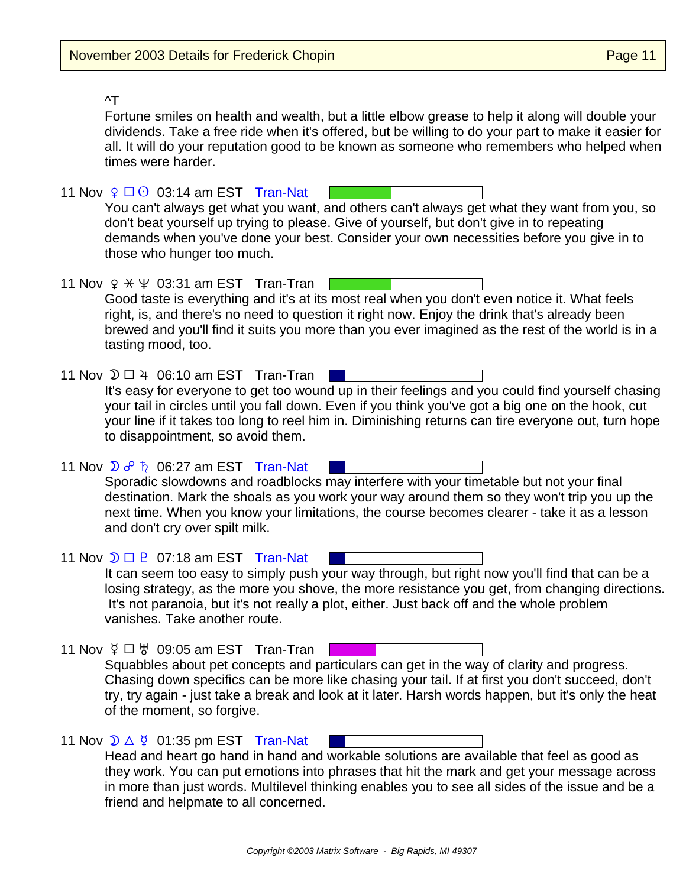## ^T

Fortune smiles on health and wealth, but a little elbow grease to help it along will double your dividends. Take a free ride when it's offered, but be willing to do your part to make it easier for all. It will do your reputation good to be known as someone who remembers who helped when times were harder.

11 Nov  $\sqrt{2}$   $\Box$   $\odot$  03:14 am EST Tran-Nat You can't always get what you want, and others can't always get what they want from you, so don't beat yourself up trying to please. Give of yourself, but don't give in to repeating demands when you've done your best. Consider your own necessities before you give in to those who hunger too much. 11 Nov  $9 \times \Psi$  03:31 am EST Tran-Tran Good taste is everything and it's at its most real when you don't even notice it. What feels right, is, and there's no need to question it right now. Enjoy the drink that's already been brewed and you'll find it suits you more than you ever imagined as the rest of the world is in a tasting mood, too. 11 Nov  $\mathfrak{D} \square 4$  06:10 am EST Tran-Tran It's easy for everyone to get too wound up in their feelings and you could find yourself chasing your tail in circles until you fall down. Even if you think you've got a big one on the hook, cut your line if it takes too long to reel him in. Diminishing returns can tire everyone out, turn hope to disappointment, so avoid them. 11 Nov  $\mathcal{D} \circ \mathcal{P}$   $\hbar$  06:27 am EST Tran-Nat Sporadic slowdowns and roadblocks may interfere with your timetable but not your final destination. Mark the shoals as you work your way around them so they won't trip you up the next time. When you know your limitations, the course becomes clearer - take it as a lesson and don't cry over spilt milk. 11 Nov  $\mathcal{D} \Box$   $\mathsf{P}$  07:18 am EST Tran-Nat It can seem too easy to simply push your way through, but right now you'll find that can be a losing strategy, as the more you shove, the more resistance you get, from changing directions. It's not paranoia, but it's not really a plot, either. Just back off and the whole problem vanishes. Take another route. 11 Nov  $\zeta \Box \, \zeta$  09:05 am EST Tran-Tran Squabbles about pet concepts and particulars can get in the way of clarity and progress. Chasing down specifics can be more like chasing your tail. If at first you don't succeed, don't try, try again - just take a break and look at it later. Harsh words happen, but it's only the heat of the moment, so forgive. 11 Nov  $\mathcal{D} \triangle \nsubseteq$  01:35 pm EST Tran-Nat Head and heart go hand in hand and workable solutions are available that feel as good as they work. You can put emotions into phrases that hit the mark and get your message across in more than just words. Multilevel thinking enables you to see all sides of the issue and be a friend and helpmate to all concerned.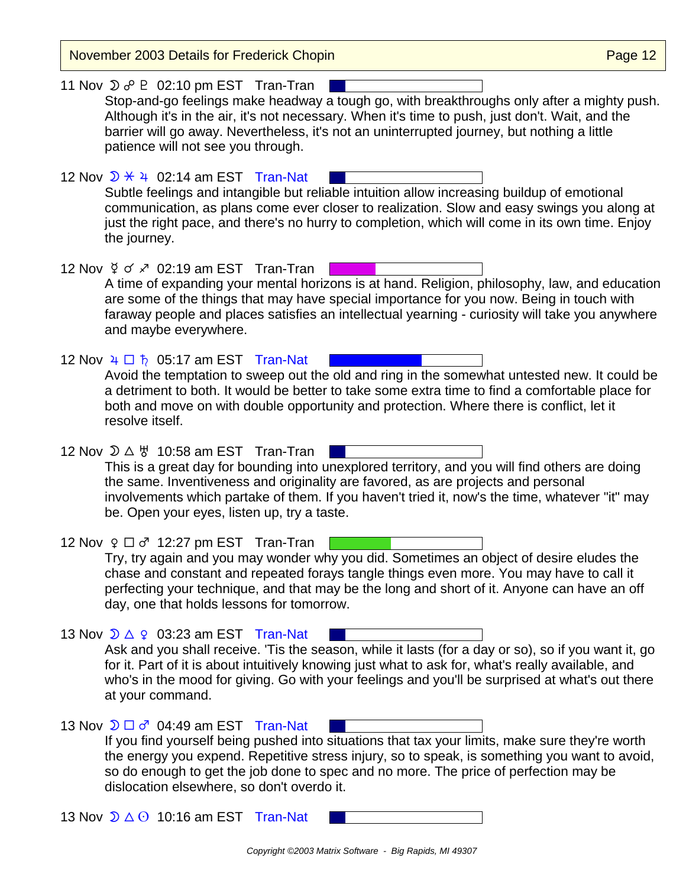November 2003 Details for Frederick Chopin **Page 12** November 2003 Details for Frederick Chopin 11 Nov  $\mathcal{D} \circ \mathcal{P}$   $\mathcal{D}$  02:10 pm EST Tran-Tran Stop-and-go feelings make headway a tough go, with breakthroughs only after a mighty push. Although it's in the air, it's not necessary. When it's time to push, just don't. Wait, and the barrier will go away. Nevertheless, it's not an uninterrupted journey, but nothing a little patience will not see you through. 12 Nov  $\sqrt{2}$   $\div$  4 02:14 am EST Tran-Nat Subtle feelings and intangible but reliable intuition allow increasing buildup of emotional communication, as plans come ever closer to realization. Slow and easy swings you along at just the right pace, and there's no hurry to completion, which will come in its own time. Enjoy the journey. 12 Nov  $\frac{6}{5}$  of  $\frac{3}{5}$  02:19 am EST Tran-Tran | A time of expanding your mental horizons is at hand. Religion, philosophy, law, and education are some of the things that may have special importance for you now. Being in touch with faraway people and places satisfies an intellectual yearning - curiosity will take you anywhere and maybe everywhere. 12 Nov  $4 \Box \hbar$  05:17 am EST Tran-Nat Avoid the temptation to sweep out the old and ring in the somewhat untested new. It could be a detriment to both. It would be better to take some extra time to find a comfortable place for both and move on with double opportunity and protection. Where there is conflict, let it resolve itself. 12 Nov  $\mathcal{D} \triangle \forall$  10:58 am EST Tran-Tran This is a great day for bounding into unexplored territory, and you will find others are doing the same. Inventiveness and originality are favored, as are projects and personal involvements which partake of them. If you haven't tried it, now's the time, whatever "it" may be. Open your eyes, listen up, try a taste. 12 Nov  $9 \Box 6$ <sup>n</sup> 12:27 pm EST Tran-Tran  $\Box$ Try, try again and you may wonder why you did. Sometimes an object of desire eludes the chase and constant and repeated forays tangle things even more. You may have to call it perfecting your technique, and that may be the long and short of it. Anyone can have an off day, one that holds lessons for tomorrow. 13 Nov  $\mathcal{D} \triangle \varphi$  03:23 am EST Tran-Nat Ask and you shall receive. 'Tis the season, while it lasts (for a day or so), so if you want it, go for it. Part of it is about intuitively knowing just what to ask for, what's really available, and who's in the mood for giving. Go with your feelings and you'll be surprised at what's out there at your command. 13 Nov  $\mathcal{D} \square \sigma^r$  04:49 am EST Tran-Nat If you find yourself being pushed into situations that tax your limits, make sure they're worth the energy you expend. Repetitive stress injury, so to speak, is something you want to avoid, so do enough to get the job done to spec and no more. The price of perfection may be dislocation elsewhere, so don't overdo it. 13 Nov  $\mathcal{D} \triangle$   $\Theta$  10:16 am EST Tran-Nat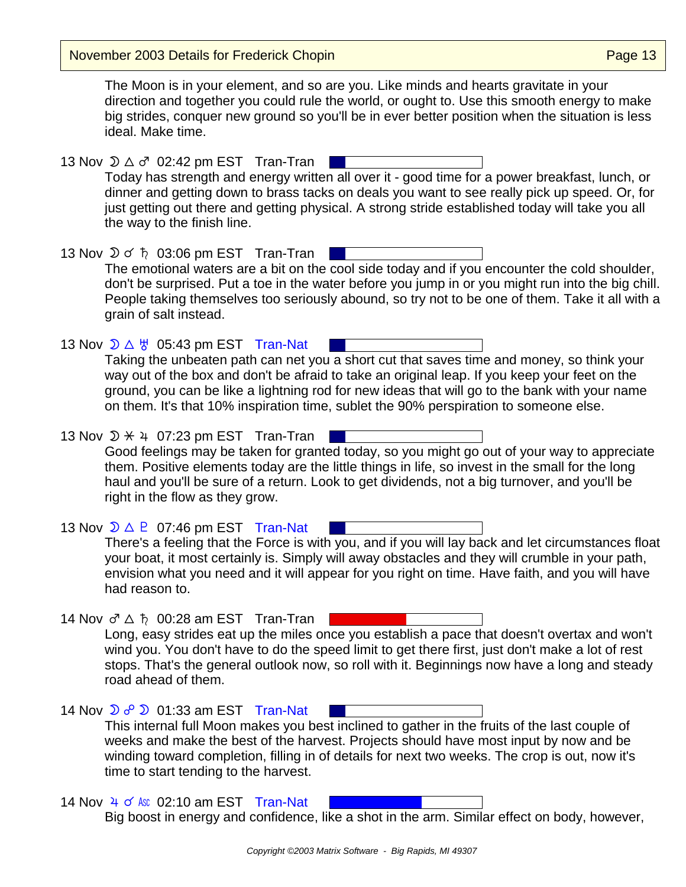November 2003 Details for Frederick Chopin

The Moon is in your element, and so are you. Like minds and hearts gravitate in your direction and together you could rule the world, or ought to. Use this smooth energy to make big strides, conquer new ground so you'll be in ever better position when the situation is less ideal. Make time.

13 Nov  $\mathcal{D} \triangle \sigma^r$  02:42 pm EST Tran-Tran | Today has strength and energy written all over it - good time for a power breakfast, lunch, or dinner and getting down to brass tacks on deals you want to see really pick up speed. Or, for just getting out there and getting physical. A strong stride established today will take you all the way to the finish line.

13 Nov  $\mathfrak{D} \circ \mathfrak{h}$  03:06 pm EST Tran-Tran The emotional waters are a bit on the cool side today and if you encounter the cold shoulder, don't be surprised. Put a toe in the water before you jump in or you might run into the big chill. People taking themselves too seriously abound, so try not to be one of them. Take it all with a grain of salt instead.

13 Nov  $\mathcal{D} \triangle \forall$  05:43 pm EST Tran-Nat Taking the unbeaten path can net you a short cut that saves time and money, so think your way out of the box and don't be afraid to take an original leap. If you keep your feet on the ground, you can be like a lightning rod for new ideas that will go to the bank with your name on them. It's that 10% inspiration time, sublet the 90% perspiration to someone else.

13 Nov  $\mathcal{D} \times 4$  07:23 pm EST Tran-Tran | Good feelings may be taken for granted today, so you might go out of your way to appreciate them. Positive elements today are the little things in life, so invest in the small for the long haul and you'll be sure of a return. Look to get dividends, not a big turnover, and you'll be right in the flow as they grow.

13 Nov  $\mathcal{D} \triangle \mathsf{P}$  07:46 pm EST Tran-Nat There's a feeling that the Force is with you, and if you will lay back and let circumstances float your boat, it most certainly is. Simply will away obstacles and they will crumble in your path, envision what you need and it will appear for you right on time. Have faith, and you will have had reason to.

14 Nov ♂ △ 为 00:28 am EST Tran-Tran Long, easy strides eat up the miles once you establish a pace that doesn't overtax and won't wind you. You don't have to do the speed limit to get there first, just don't make a lot of rest stops. That's the general outlook now, so roll with it. Beginnings now have a long and steady road ahead of them.

14 Nov  $\sum$   $o^{\circ}$   $\sum$  01:33 am EST Tran-Nat This internal full Moon makes you best inclined to gather in the fruits of the last couple of weeks and make the best of the harvest. Projects should have most input by now and be winding toward completion, filling in of details for next two weeks. The crop is out, now it's time to start tending to the harvest.

14 Nov  $\frac{1}{4}$  o' Asc 02:10 am EST Tran-Nat Big boost in energy and confidence, like a shot in the arm. Similar effect on body, however,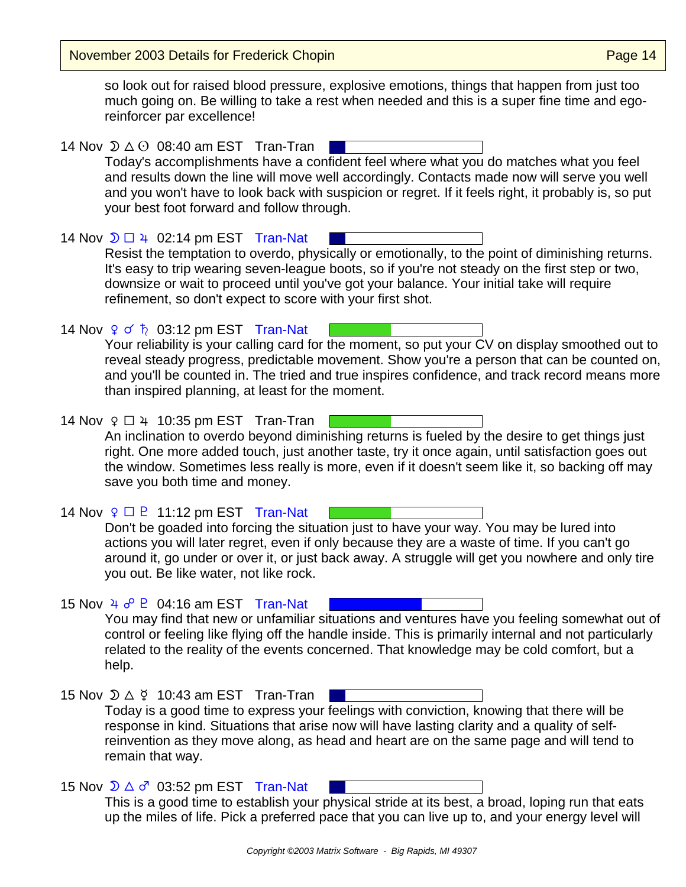November 2003 Details for Frederick Chopin **Page 14** November 2003 Details for Frederick Chopin

so look out for raised blood pressure, explosive emotions, things that happen from just too much going on. Be willing to take a rest when needed and this is a super fine time and egoreinforcer par excellence!

14 Nov  $\mathfrak{D} \triangle \Theta$  08:40 am EST Tran-Tran Today's accomplishments have a confident feel where what you do matches what you feel and results down the line will move well accordingly. Contacts made now will serve you well and you won't have to look back with suspicion or regret. If it feels right, it probably is, so put your best foot forward and follow through.

14 Nov  $\mathfrak{D} \square 4$  02:14 pm EST Tran-Nat Resist the temptation to overdo, physically or emotionally, to the point of diminishing returns. It's easy to trip wearing seven-league boots, so if you're not steady on the first step or two, downsize or wait to proceed until you've got your balance. Your initial take will require refinement, so don't expect to score with your first shot.

14 Nov  $9 \circ b$  03:12 pm EST Tran-Nat Your reliability is your calling card for the moment, so put your CV on display smoothed out to reveal steady progress, predictable movement. Show you're a person that can be counted on, and you'll be counted in. The tried and true inspires confidence, and track record means more than inspired planning, at least for the moment.

14 Nov  $9 \Box 4$  10:35 pm EST Tran-Tran An inclination to overdo beyond diminishing returns is fueled by the desire to get things just right. One more added touch, just another taste, try it once again, until satisfaction goes out the window. Sometimes less really is more, even if it doesn't seem like it, so backing off may save you both time and money.

14 Nov  $\varphi \Box P$  11:12 pm EST Tran-Nat Don't be goaded into forcing the situation just to have your way. You may be lured into actions you will later regret, even if only because they are a waste of time. If you can't go around it, go under or over it, or just back away. A struggle will get you nowhere and only tire you out. Be like water, not like rock.

15 Nov  $4 \text{ } 6^{\circ}$  P 04:16 am EST Tran-Nat You may find that new or unfamiliar situations and ventures have you feeling somewhat out of control or feeling like flying off the handle inside. This is primarily internal and not particularly related to the reality of the events concerned. That knowledge may be cold comfort, but a help.

15 Nov  $\mathcal{D} \triangle \n\mathcal{V}$  10:43 am EST Tran-Tran Today is a good time to express your feelings with conviction, knowing that there will be response in kind. Situations that arise now will have lasting clarity and a quality of selfreinvention as they move along, as head and heart are on the same page and will tend to remain that way.

15 Nov  $\mathcal{D} \triangle \sigma^r$  03:52 pm EST Tran-Nat This is a good time to establish your physical stride at its best, a broad, loping run that eats up the miles of life. Pick a preferred pace that you can live up to, and your energy level will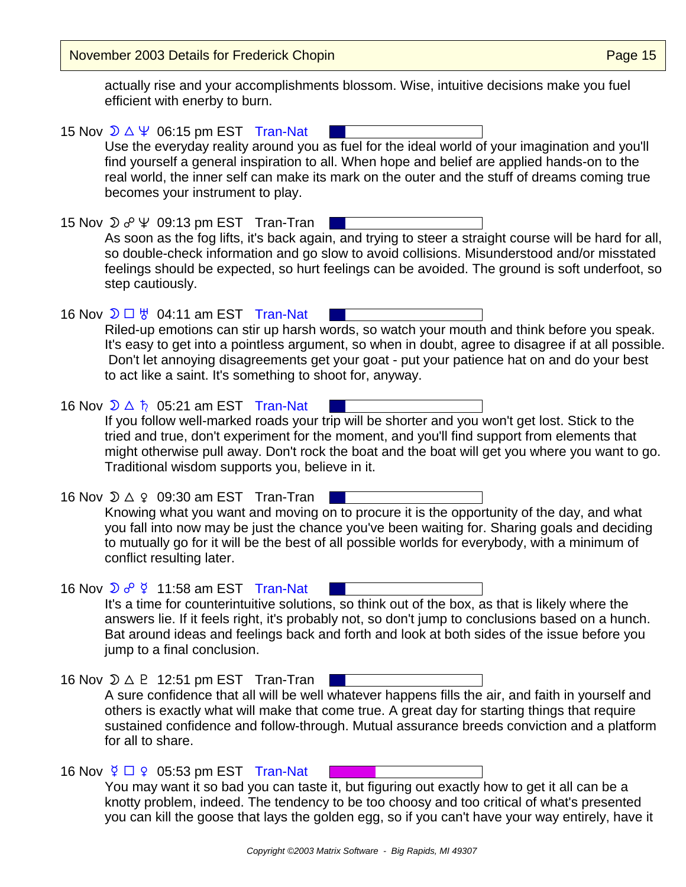November 2003 Details for Frederick Chopin **Page 15** November 2003 Details for Frederick Chopin

actually rise and your accomplishments blossom. Wise, intuitive decisions make you fuel efficient with enerby to burn.

15 Nov  $\mathcal{D} \triangle \Psi$  06:15 pm EST Tran-Nat Use the everyday reality around you as fuel for the ideal world of your imagination and you'll find yourself a general inspiration to all. When hope and belief are applied hands-on to the real world, the inner self can make its mark on the outer and the stuff of dreams coming true becomes your instrument to play. 15 Nov  $\mathfrak{D} \overset{\circ}{\circ} \mathfrak{P}$   $\mathfrak{D}$  09:13 pm EST Tran-Tran As soon as the fog lifts, it's back again, and trying to steer a straight course will be hard for all, so double-check information and go slow to avoid collisions. Misunderstood and/or misstated feelings should be expected, so hurt feelings can be avoided. The ground is soft underfoot, so step cautiously. 16 Nov  $\mathcal{D} \square \, \forall$  04:11 am EST Tran-Nat Riled-up emotions can stir up harsh words, so watch your mouth and think before you speak. It's easy to get into a pointless argument, so when in doubt, agree to disagree if at all possible. Don't let annoying disagreements get your goat - put your patience hat on and do your best to act like a saint. It's something to shoot for, anyway. 16 Nov  $\mathcal{D} \triangle \hbar$  05:21 am EST Tran-Nat If you follow well-marked roads your trip will be shorter and you won't get lost. Stick to the tried and true, don't experiment for the moment, and you'll find support from elements that might otherwise pull away. Don't rock the boat and the boat will get you where you want to go. Traditional wisdom supports you, believe in it. 16 Nov  $\mathfrak{D} \triangle \varphi$  09:30 am EST Tran-Tran | Knowing what you want and moving on to procure it is the opportunity of the day, and what you fall into now may be just the chance you've been waiting for. Sharing goals and deciding to mutually go for it will be the best of all possible worlds for everybody, with a minimum of conflict resulting later. 16 Nov  $\overline{D}$   $\sigma^0$   $\overline{2}$  11:58 am EST Tran-Nat It's a time for counterintuitive solutions, so think out of the box, as that is likely where the answers lie. If it feels right, it's probably not, so don't jump to conclusions based on a hunch. Bat around ideas and feelings back and forth and look at both sides of the issue before you jump to a final conclusion. 16 Nov  $\mathcal{D} \triangle P$  12:51 pm EST Tran-Tran | A sure confidence that all will be well whatever happens fills the air, and faith in yourself and others is exactly what will make that come true. A great day for starting things that require sustained confidence and follow-through. Mutual assurance breeds conviction and a platform for all to share. 16 Nov  $\frac{6}{7}$   $\Box$   $\Omega$  05:53 pm EST Tran-Nat You may want it so bad you can taste it, but figuring out exactly how to get it all can be a knotty problem, indeed. The tendency to be too choosy and too critical of what's presented you can kill the goose that lays the golden egg, so if you can't have your way entirely, have it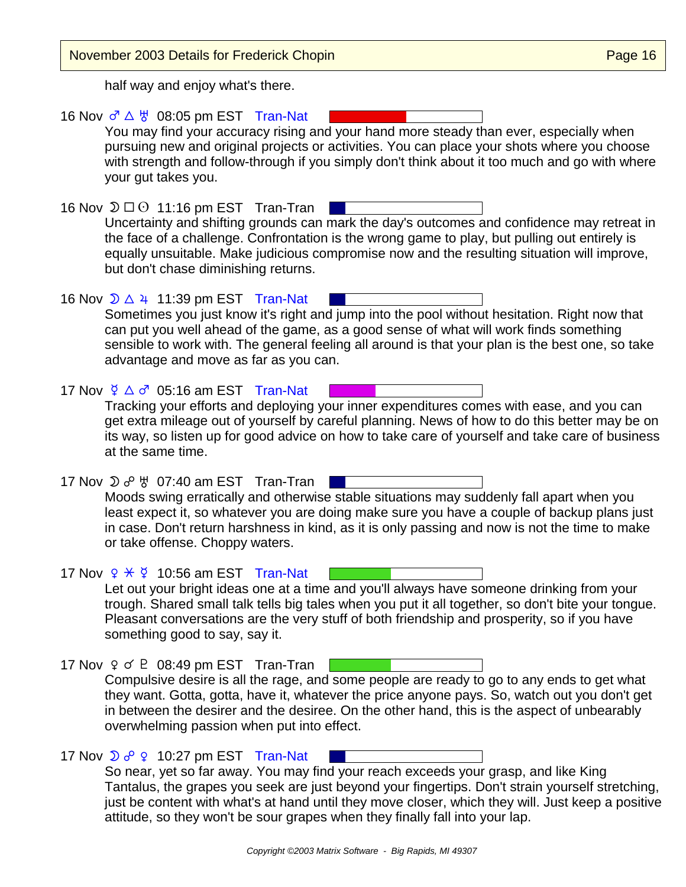| November 2003 Details for Frederick Chopin                                                                                                                                                                                                                                                                                                                                                                                                    | Page 16 |
|-----------------------------------------------------------------------------------------------------------------------------------------------------------------------------------------------------------------------------------------------------------------------------------------------------------------------------------------------------------------------------------------------------------------------------------------------|---------|
| half way and enjoy what's there.                                                                                                                                                                                                                                                                                                                                                                                                              |         |
| 16 Nov $\sigma^2 \triangle \overline{\sigma}$ 08:05 pm EST Tran-Nat<br>You may find your accuracy rising and your hand more steady than ever, especially when<br>pursuing new and original projects or activities. You can place your shots where you choose<br>with strength and follow-through if you simply don't think about it too much and go with where<br>your gut takes you.                                                         |         |
| 16 Nov $\mathfrak{D} \square \odot 11:16$ pm EST Tran-Tran<br>Uncertainty and shifting grounds can mark the day's outcomes and confidence may retreat in<br>the face of a challenge. Confrontation is the wrong game to play, but pulling out entirely is<br>equally unsuitable. Make judicious compromise now and the resulting situation will improve,<br>but don't chase diminishing returns.                                              |         |
| 16 Nov $\sqrt{2}$ $\triangle$ 4 11:39 pm EST Tran-Nat<br>Sometimes you just know it's right and jump into the pool without hesitation. Right now that<br>can put you well ahead of the game, as a good sense of what will work finds something<br>sensible to work with. The general feeling all around is that your plan is the best one, so take<br>advantage and move as far as you can.                                                   |         |
| 17 Nov $\frac{6}{7}$ $\triangle$ $\sigma$ 05:16 am EST Tran-Nat<br>Tracking your efforts and deploying your inner expenditures comes with ease, and you can<br>get extra mileage out of yourself by careful planning. News of how to do this better may be on<br>its way, so listen up for good advice on how to take care of yourself and take care of business<br>at the same time.                                                         |         |
| 17 Nov $\mathfrak{D}$ $o^{\circ}$ $\mathfrak{B}$ 07:40 am EST Tran-Tran<br>Moods swing erratically and otherwise stable situations may suddenly fall apart when you<br>least expect it, so whatever you are doing make sure you have a couple of backup plans just<br>in case. Don't return harshness in kind, as it is only passing and now is not the time to make<br>or take offense. Choppy waters.                                       |         |
| 17 Nov $9 \times 9$ 10:56 am EST Tran-Nat<br>Let out your bright ideas one at a time and you'll always have someone drinking from your<br>trough. Shared small talk tells big tales when you put it all together, so don't bite your tongue.<br>Pleasant conversations are the very stuff of both friendship and prosperity, so if you have<br>something good to say, say it.                                                                 |         |
| 17 Nov $9 \text{ } 6$ P 08:49 pm EST Tran-Tran<br>Compulsive desire is all the rage, and some people are ready to go to any ends to get what<br>they want. Gotta, gotta, have it, whatever the price anyone pays. So, watch out you don't get<br>in between the desirer and the desiree. On the other hand, this is the aspect of unbearably<br>overwhelming passion when put into effect.                                                    |         |
| 17 Nov $\sqrt{2}$ $\sigma^2$ $\sqrt{2}$ 10:27 pm EST Tran-Nat<br>So near, yet so far away. You may find your reach exceeds your grasp, and like King<br>Tantalus, the grapes you seek are just beyond your fingertips. Don't strain yourself stretching,<br>just be content with what's at hand until they move closer, which they will. Just keep a positive<br>attitude, so they won't be sour grapes when they finally fall into your lap. |         |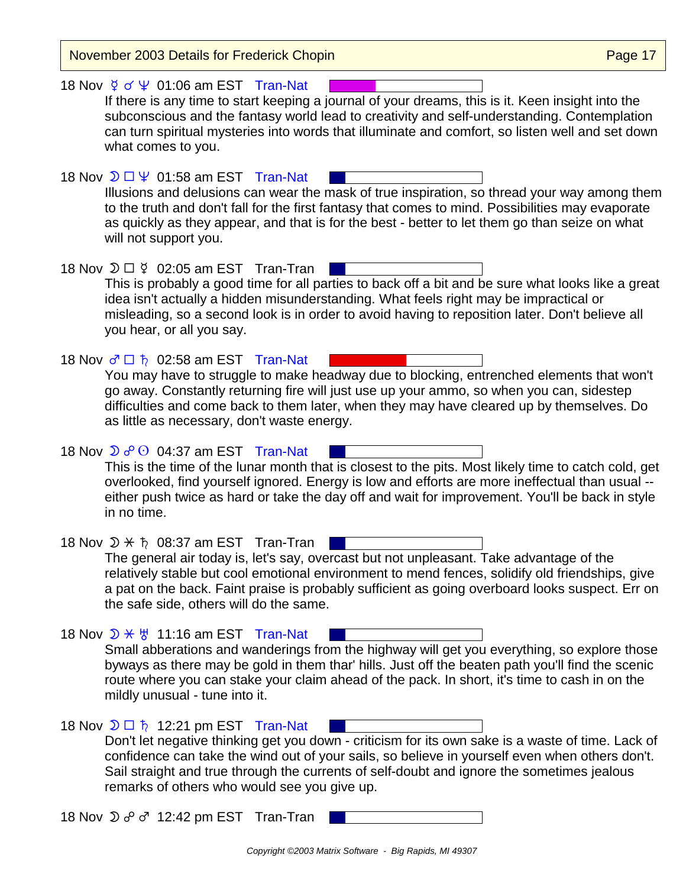November 2003 Details for Frederick Chopin **Page 17** November 2003 Details for Frederick Chopin 18 Nov  $\frac{6}{5}$  of  $\frac{10}{5}$  01:06 am EST Tran-Nat If there is any time to start keeping a journal of your dreams, this is it. Keen insight into the subconscious and the fantasy world lead to creativity and self-understanding. Contemplation can turn spiritual mysteries into words that illuminate and comfort, so listen well and set down what comes to you. 18 Nov  $\mathcal{D} \square \Psi$  01:58 am EST Tran-Nat Illusions and delusions can wear the mask of true inspiration, so thread your way among them to the truth and don't fall for the first fantasy that comes to mind. Possibilities may evaporate as quickly as they appear, and that is for the best - better to let them go than seize on what will not support you. 18 Nov  $\mathfrak{D} \square \nsubseteq 02:05$  am EST Tran-Tran | This is probably a good time for all parties to back off a bit and be sure what looks like a great idea isn't actually a hidden misunderstanding. What feels right may be impractical or misleading, so a second look is in order to avoid having to reposition later. Don't believe all you hear, or all you say. 18 Nov  $\sigma \Box \bar{\uparrow}$  02:58 am EST Tran-Nat You may have to struggle to make headway due to blocking, entrenched elements that won't go away. Constantly returning fire will just use up your ammo, so when you can, sidestep difficulties and come back to them later, when they may have cleared up by themselves. Do as little as necessary, don't waste energy. 18 Nov  $\sum \sigma \odot 04:37$  am EST Tran-Nat This is the time of the lunar month that is closest to the pits. Most likely time to catch cold, get overlooked, find yourself ignored. Energy is low and efforts are more ineffectual than usual - either push twice as hard or take the day off and wait for improvement. You'll be back in style in no time. 18 Nov  $\mathcal{D} \times \mathfrak{h}$  08:37 am EST Tran-Tran | The general air today is, let's say, overcast but not unpleasant. Take advantage of the relatively stable but cool emotional environment to mend fences, solidify old friendships, give a pat on the back. Faint praise is probably sufficient as going overboard looks suspect. Err on the safe side, others will do the same. 18 Nov  $\mathcal{D} \times \mathcal{B}$  11:16 am EST Tran-Nat Small abberations and wanderings from the highway will get you everything, so explore those byways as there may be gold in them thar' hills. Just off the beaten path you'll find the scenic route where you can stake your claim ahead of the pack. In short, it's time to cash in on the mildly unusual - tune into it. 18 Nov  $\mathfrak{D} \square \nightharpoonup 12:21$  pm EST Tran-Nat Don't let negative thinking get you down - criticism for its own sake is a waste of time. Lack of confidence can take the wind out of your sails, so believe in yourself even when others don't. Sail straight and true through the currents of self-doubt and ignore the sometimes jealous remarks of others who would see you give up. 18 Nov  $\mathfrak{D}$   $\sigma$ <sup>0</sup>  $\sigma$  12:42 pm EST Tran-Tran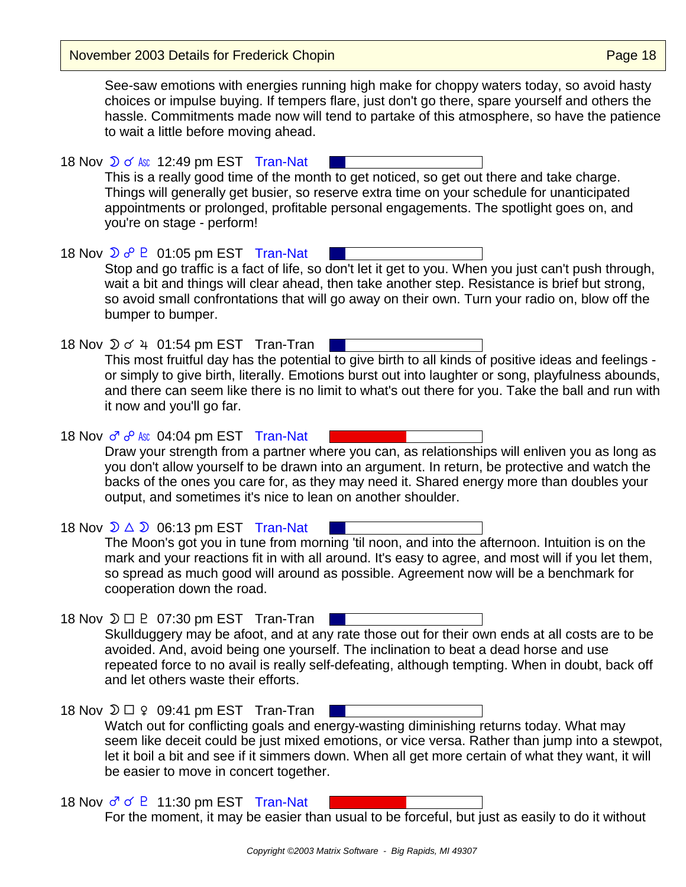November 2003 Details for Frederick Chopin **Page 18** November 2003 Details for Frederick Chopin

See-saw emotions with energies running high make for choppy waters today, so avoid hasty choices or impulse buying. If tempers flare, just don't go there, spare yourself and others the hassle. Commitments made now will tend to partake of this atmosphere, so have the patience to wait a little before moving ahead.

18 Nov  $\mathcal{D}$  of Asc 12:49 pm EST Tran-Nat This is a really good time of the month to get noticed, so get out there and take charge. Things will generally get busier, so reserve extra time on your schedule for unanticipated appointments or prolonged, profitable personal engagements. The spotlight goes on, and you're on stage - perform!

18 Nov  $\mathcal{D}$   $\sigma^0$  P  $\,$  01:05 pm EST Tran-Nat Stop and go traffic is a fact of life, so don't let it get to you. When you just can't push through, wait a bit and things will clear ahead, then take another step. Resistance is brief but strong, so avoid small confrontations that will go away on their own. Turn your radio on, blow off the bumper to bumper.

18 Nov  $\sqrt{2}$  o' 4 01:54 pm EST Tran-Tran | This most fruitful day has the potential to give birth to all kinds of positive ideas and feelings or simply to give birth, literally. Emotions burst out into laughter or song, playfulness abounds, and there can seem like there is no limit to what's out there for you. Take the ball and run with it now and you'll go far.

18 Nov  $\sigma \circ$  Asc 04:04 pm EST Tran-Nat Draw your strength from a partner where you can, as relationships will enliven you as long as you don't allow yourself to be drawn into an argument. In return, be protective and watch the backs of the ones you care for, as they may need it. Shared energy more than doubles your output, and sometimes it's nice to lean on another shoulder.

18 Nov  $\mathcal{D} \triangle \mathcal{D}$  06:13 pm EST Tran-Nat The Moon's got you in tune from morning 'til noon, and into the afternoon. Intuition is on the mark and your reactions fit in with all around. It's easy to agree, and most will if you let them, so spread as much good will around as possible. Agreement now will be a benchmark for cooperation down the road.

18 Nov  $\mathfrak{D} \square \square$  07:30 pm EST Tran-Tran Skullduggery may be afoot, and at any rate those out for their own ends at all costs are to be avoided. And, avoid being one yourself. The inclination to beat a dead horse and use repeated force to no avail is really self-defeating, although tempting. When in doubt, back off and let others waste their efforts.

| 18 Nov $\mathfrak{D} \square$ $\varphi$ 09:41 pm EST Tran-Tran                                     |
|----------------------------------------------------------------------------------------------------|
| Watch out for conflicting goals and energy-wasting diminishing returns today. What may             |
| seem like deceit could be just mixed emotions, or vice versa. Rather than jump into a stewpot,     |
| let it boil a bit and see if it simmers down. When all get more certain of what they want, it will |
| be easier to move in concert together.                                                             |

18 Nov  $\sigma$   $\sigma$   $\sigma$  P 11:30 pm EST Tran-Nat For the moment, it may be easier than usual to be forceful, but just as easily to do it without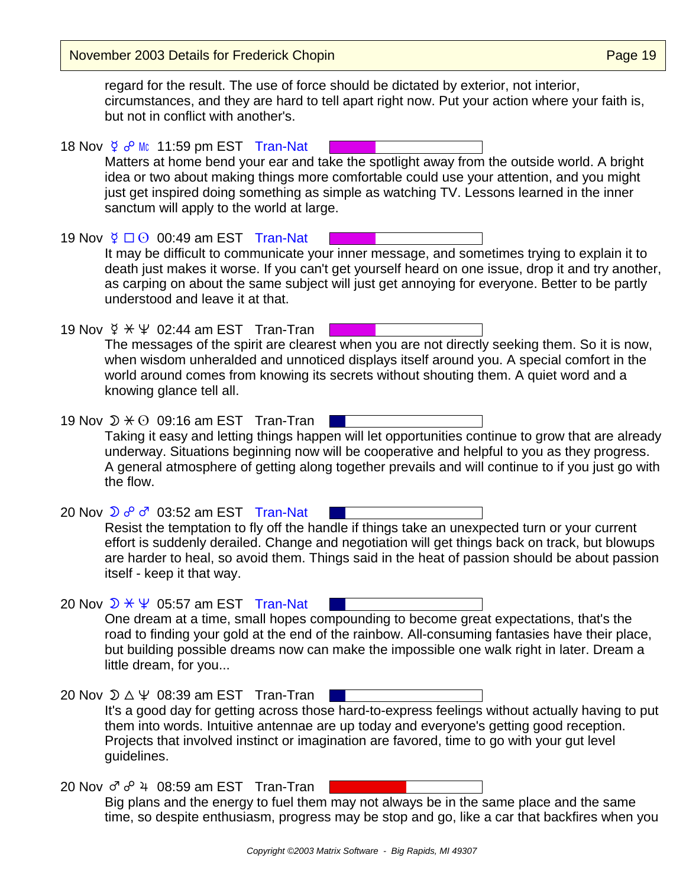November 2003 Details for Frederick Chopin **Page 19** November 2003 Details for Frederick Chopin

regard for the result. The use of force should be dictated by exterior, not interior, circumstances, and they are hard to tell apart right now. Put your action where your faith is, but not in conflict with another's.

18 Nov  $\frac{6}{7}$   $\sigma^0$  Mc 11:59 pm EST Tran-Nat Matters at home bend your ear and take the spotlight away from the outside world. A bright idea or two about making things more comfortable could use your attention, and you might just get inspired doing something as simple as watching TV. Lessons learned in the inner sanctum will apply to the world at large.

19 Nov  $\frac{6}{5}$   $\Box$   $\odot$  00:49 am EST Tran-Nat It may be difficult to communicate your inner message, and sometimes trying to explain it to death just makes it worse. If you can't get yourself heard on one issue, drop it and try another, as carping on about the same subject will just get annoying for everyone. Better to be partly understood and leave it at that.

19 Nov  $\frac{6}{5}$   $\div$   $\frac{4}{5}$  02:44 am EST Tran-Tran  $\Box$ The messages of the spirit are clearest when you are not directly seeking them. So it is now, when wisdom unheralded and unnoticed displays itself around you. A special comfort in the world around comes from knowing its secrets without shouting them. A quiet word and a knowing glance tell all.

19 Nov  $\mathfrak{D} \times \mathfrak{O}$  09:16 am EST Tran-Tran Taking it easy and letting things happen will let opportunities continue to grow that are already underway. Situations beginning now will be cooperative and helpful to you as they progress. A general atmosphere of getting along together prevails and will continue to if you just go with the flow.

20 Nov  $\mathfrak{D}$   $\sigma^0$   $\sigma^7$  03:52 am EST Tran-Nat Resist the temptation to fly off the handle if things take an unexpected turn or your current

effort is suddenly derailed. Change and negotiation will get things back on track, but blowups are harder to heal, so avoid them. Things said in the heat of passion should be about passion itself - keep it that way.

- 20 Nov  $\mathcal{D} \times \Psi$  05:57 am EST Tran-Nat One dream at a time, small hopes compounding to become great expectations, that's the road to finding your gold at the end of the rainbow. All-consuming fantasies have their place, but building possible dreams now can make the impossible one walk right in later. Dream a little dream, for you...
- 20 Nov  $\mathcal{D} \triangle \Psi$  08:39 am EST Tran-Tran It's a good day for getting across those hard-to-express feelings without actually having to put them into words. Intuitive antennae are up today and everyone's getting good reception. Projects that involved instinct or imagination are favored, time to go with your gut level guidelines.
- 20 Nov  $\sigma \circ^2 4$  08:59 am EST Tran-Tran Big plans and the energy to fuel them may not always be in the same place and the same time, so despite enthusiasm, progress may be stop and go, like a car that backfires when you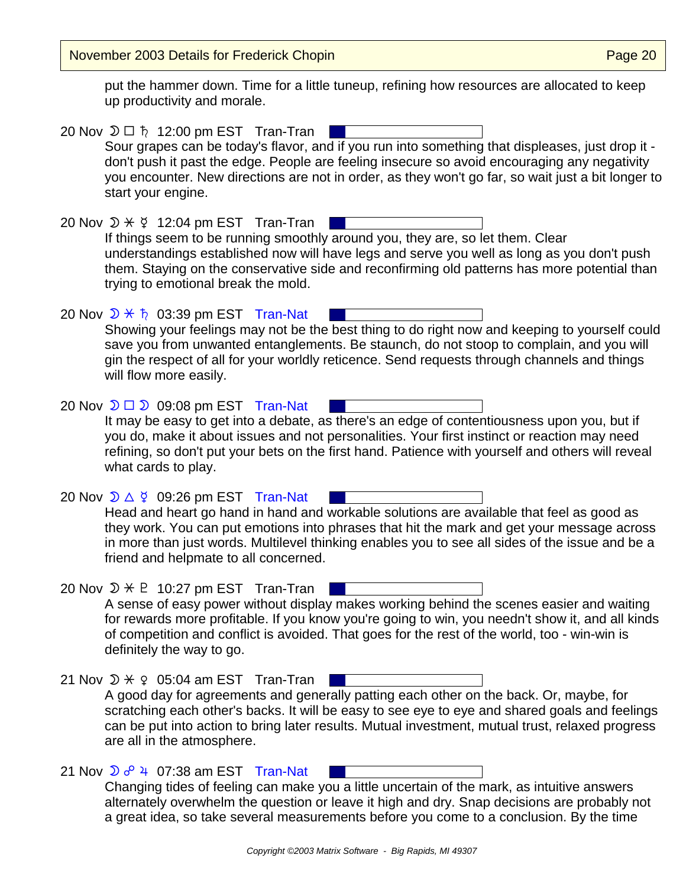November 2003 Details for Frederick Chopin **Page 20** November 2003 Details for Frederick Chopin

put the hammer down. Time for a little tuneup, refining how resources are allocated to keep up productivity and morale.

| 20 Nov $\mathfrak{D} \square$ $\hbar$ 12:00 pm EST Tran-Tran<br>Sour grapes can be today's flavor, and if you run into something that displeases, just drop it -<br>don't push it past the edge. People are feeling insecure so avoid encouraging any negativity<br>you encounter. New directions are not in order, as they won't go far, so wait just a bit longer to<br>start your engine.   |
|------------------------------------------------------------------------------------------------------------------------------------------------------------------------------------------------------------------------------------------------------------------------------------------------------------------------------------------------------------------------------------------------|
| 20 Nov $\mathcal{D} \times \mathcal{G}$ 12:04 pm EST Tran-Tran<br>If things seem to be running smoothly around you, they are, so let them. Clear<br>understandings established now will have legs and serve you well as long as you don't push<br>them. Staying on the conservative side and reconfirming old patterns has more potential than<br>trying to emotional break the mold.          |
| 20 Nov $\mathcal{D} \times \mathfrak{h}$ 03:39 pm EST Tran-Nat<br>Showing your feelings may not be the best thing to do right now and keeping to yourself could<br>save you from unwanted entanglements. Be staunch, do not stoop to complain, and you will<br>gin the respect of all for your worldly reticence. Send requests through channels and things<br>will flow more easily.          |
| 20 Nov $\mathfrak{D} \square \mathfrak{D}$ 09:08 pm EST Tran-Nat<br>It may be easy to get into a debate, as there's an edge of contentiousness upon you, but if<br>you do, make it about issues and not personalities. Your first instinct or reaction may need<br>refining, so don't put your bets on the first hand. Patience with yourself and others will reveal<br>what cards to play.    |
| 20 Nov $\mathcal{D} \triangle \xi$ 09:26 pm EST Tran-Nat<br>Head and heart go hand in hand and workable solutions are available that feel as good as<br>they work. You can put emotions into phrases that hit the mark and get your message across<br>in more than just words. Multilevel thinking enables you to see all sides of the issue and be a<br>friend and helpmate to all concerned. |
| 20 Nov $\mathcal{D} \times \mathbb{P}$ 10:27 pm EST Tran-Tran<br>A sense of easy power without display makes working behind the scenes easier and waiting<br>for rewards more profitable. If you know you're going to win, you needn't show it, and all kinds<br>of competition and conflict is avoided. That goes for the rest of the world, too - win-win is<br>definitely the way to go.    |
| 21 Nov $\mathcal{D} \times \mathcal{Q}$ 05:04 am EST Tran-Tran<br>A good day for agreements and generally patting each other on the back. Or, maybe, for<br>scratching each other's backs. It will be easy to see eye to eye and shared goals and feelings<br>can be put into action to bring later results. Mutual investment, mutual trust, relaxed progress<br>are all in the atmosphere.   |
| 21 Nov $\sqrt{2}$ $6^{\circ}$ 4 07:38 am EST Tran-Nat<br>Changing tides of feeling can make you a little uncertain of the mark, as intuitive answers<br>alternately overwhelm the question or leave it high and dry. Snap decisions are probably not                                                                                                                                           |

a great idea, so take several measurements before you come to a conclusion. By the time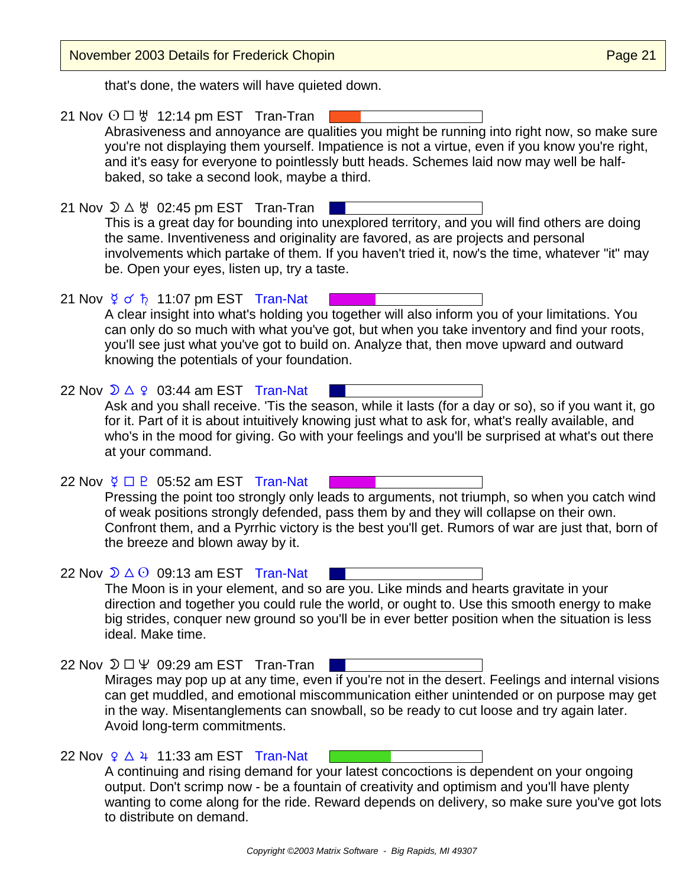| November 2003 Details for Frederick Chopin                                                                                                                                                                                                                                                                                                                                                            | Page 21 |
|-------------------------------------------------------------------------------------------------------------------------------------------------------------------------------------------------------------------------------------------------------------------------------------------------------------------------------------------------------------------------------------------------------|---------|
| that's done, the waters will have quieted down.                                                                                                                                                                                                                                                                                                                                                       |         |
| 21 Nov $\odot$ $\Box$ $\forall$ 12:14 pm EST Tran-Tran<br>Abrasiveness and annoyance are qualities you might be running into right now, so make sure<br>you're not displaying them yourself. Impatience is not a virtue, even if you know you're right,<br>and it's easy for everyone to pointlessly butt heads. Schemes laid now may well be half-<br>baked, so take a second look, maybe a third.   |         |
| 21 Nov $\mathcal{D} \triangle \forall 02:45$ pm EST Tran-Tran<br>This is a great day for bounding into unexplored territory, and you will find others are doing<br>the same. Inventiveness and originality are favored, as are projects and personal<br>involvements which partake of them. If you haven't tried it, now's the time, whatever "it" may<br>be. Open your eyes, listen up, try a taste. |         |
| 21 Nov $\frac{6}{5}$ of $\frac{1}{6}$ 11:07 pm EST Tran-Nat<br>A clear insight into what's holding you together will also inform you of your limitations. You<br>can only do so much with what you've got, but when you take inventory and find your roots,<br>you'll see just what you've got to build on. Analyze that, then move upward and outward<br>knowing the potentials of your foundation.  |         |
| 22 Nov $\sqrt{2}$ $\triangle$ $\sqrt{2}$ 03:44 am EST Tran-Nat<br>Ask and you shall receive. 'Tis the season, while it lasts (for a day or so), so if you want it, go<br>for it. Part of it is about intuitively knowing just what to ask for, what's really available, and<br>who's in the mood for giving. Go with your feelings and you'll be surprised at what's out there<br>at your command.    |         |
| 22 Nov $\frac{6}{7}$ $\Box$ P 05:52 am EST Tran-Nat<br>Pressing the point too strongly only leads to arguments, not triumph, so when you catch wind<br>of weak positions strongly defended, pass them by and they will collapse on their own.<br>Confront them, and a Pyrrhic victory is the best you'll get. Rumors of war are just that, born of<br>the breeze and blown away by it.                |         |
| 22 Nov $\mathcal{D} \triangle$ $\Theta$ 09:13 am EST Tran-Nat<br>The Moon is in your element, and so are you. Like minds and hearts gravitate in your<br>direction and together you could rule the world, or ought to. Use this smooth energy to make<br>big strides, conquer new ground so you'll be in ever better position when the situation is less<br>ideal. Make time.                         |         |
| 22 Nov $\mathfrak{D} \square \Psi$ 09:29 am EST Tran-Tran<br>Mirages may pop up at any time, even if you're not in the desert. Feelings and internal visions<br>can get muddled, and emotional miscommunication either unintended or on purpose may get<br>in the way. Misentanglements can snowball, so be ready to cut loose and try again later.<br>Avoid long-term commitments.                   |         |
| 22 Nov $9 \triangle 4$ 11:33 am EST Tran-Nat<br>A continuing and rising demand for your latest concoctions is dependent on your ongoing<br>output. Don't scrimp now - be a fountain of creativity and optimism and you'll have plenty<br>wanting to come along for the ride. Reward depends on delivery, so make sure you've got lots<br>to distribute on demand.                                     |         |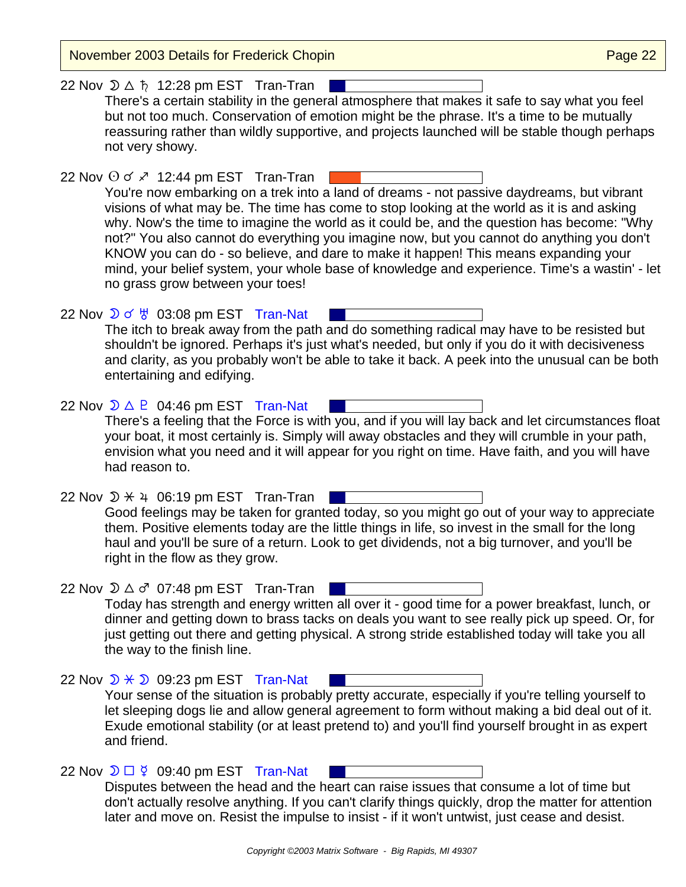November 2003 Details for Frederick Chopin **Page 22** According Page 22

22 Nov  $\mathfrak{D} \triangle \hbar$  12:28 pm EST Tran-Tran There's a certain stability in the general atmosphere that makes it safe to say what you feel but not too much. Conservation of emotion might be the phrase. It's a time to be mutually reassuring rather than wildly supportive, and projects launched will be stable though perhaps not very showy.

22 Nov  $\odot$  o'  $\ge$  12:44 pm EST Tran-Tran You're now embarking on a trek into a land of dreams - not passive daydreams, but vibrant visions of what may be. The time has come to stop looking at the world as it is and asking why. Now's the time to imagine the world as it could be, and the question has become: "Why not?" You also cannot do everything you imagine now, but you cannot do anything you don't KNOW you can do - so believe, and dare to make it happen! This means expanding your mind, your belief system, your whole base of knowledge and experience. Time's a wastin' - let no grass grow between your toes!

22 Nov  $\sqrt{2}$  of  $\frac{11}{9}$  03:08 pm EST Tran-Nat The itch to break away from the path and do something radical may have to be resisted but shouldn't be ignored. Perhaps it's just what's needed, but only if you do it with decisiveness and clarity, as you probably won't be able to take it back. A peek into the unusual can be both entertaining and edifying.

22 Nov  $\mathcal{D} \triangle \mathcal{P}$  04:46 pm EST Tran-Nat There's a feeling that the Force is with you, and if you will lay back and let circumstances float your boat, it most certainly is. Simply will away obstacles and they will crumble in your path, envision what you need and it will appear for you right on time. Have faith, and you will have had reason to.

22 Nov  $\mathcal{D} \times 4$  06:19 pm EST Tran-Tran Good feelings may be taken for granted today, so you might go out of your way to appreciate them. Positive elements today are the little things in life, so invest in the small for the long haul and you'll be sure of a return. Look to get dividends, not a big turnover, and you'll be right in the flow as they grow.

22 Nov  $\mathfrak{D} \triangle \sigma^r$  07:48 pm EST Tran-Tran Today has strength and energy written all over it - good time for a power breakfast, lunch, or dinner and getting down to brass tacks on deals you want to see really pick up speed. Or, for just getting out there and getting physical. A strong stride established today will take you all the way to the finish line.

22 Nov  $\mathcal{D} \times \mathcal{D}$  09:23 pm EST Tran-Nat Your sense of the situation is probably pretty accurate, especially if you're telling yourself to let sleeping dogs lie and allow general agreement to form without making a bid deal out of it. Exude emotional stability (or at least pretend to) and you'll find yourself brought in as expert and friend.

22 Nov  $\mathfrak{D} \square \nsubseteq$  09:40 pm EST Tran-Nat Disputes between the head and the heart can raise issues that consume a lot of time but don't actually resolve anything. If you can't clarify things quickly, drop the matter for attention later and move on. Resist the impulse to insist - if it won't untwist, just cease and desist.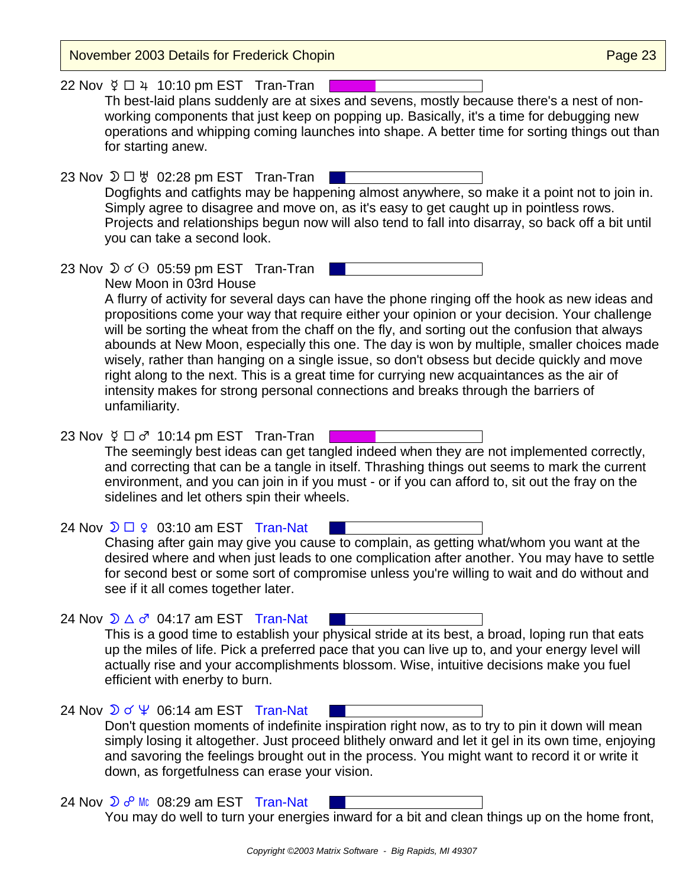November 2003 Details for Frederick Chopin **Page 23** November 2003 Details for Frederick Chopin 22 Nov  $\sqrt{2}$   $\Box$  4 10:10 pm EST Tran-Tran Th best-laid plans suddenly are at sixes and sevens, mostly because there's a nest of nonworking components that just keep on popping up. Basically, it's a time for debugging new operations and whipping coming launches into shape. A better time for sorting things out than for starting anew. 23 Nov  $\mathfrak{D} \square \ \forall$  02:28 pm EST Tran-Tran | Dogfights and catfights may be happening almost anywhere, so make it a point not to join in. Simply agree to disagree and move on, as it's easy to get caught up in pointless rows. Projects and relationships begun now will also tend to fall into disarray, so back off a bit until you can take a second look. 23 Nov  $\mathfrak{D} \triangleleft \odot 0$  05:59 pm EST Tran-Tran New Moon in 03rd House A flurry of activity for several days can have the phone ringing off the hook as new ideas and propositions come your way that require either your opinion or your decision. Your challenge will be sorting the wheat from the chaff on the fly, and sorting out the confusion that always abounds at New Moon, especially this one. The day is won by multiple, smaller choices made wisely, rather than hanging on a single issue, so don't obsess but decide quickly and move right along to the next. This is a great time for currying new acquaintances as the air of intensity makes for strong personal connections and breaks through the barriers of unfamiliarity. 23 Nov  $\frac{6}{7}$   $\Box$   $\sigma$ <sup>7</sup> 10:14 pm EST Tran-Tran | The seemingly best ideas can get tangled indeed when they are not implemented correctly, and correcting that can be a tangle in itself. Thrashing things out seems to mark the current environment, and you can join in if you must - or if you can afford to, sit out the fray on the sidelines and let others spin their wheels. 24 Nov  $\mathfrak{D} \square$   $\varphi$  03:10 am EST Tran-Nat Chasing after gain may give you cause to complain, as getting what/whom you want at the desired where and when just leads to one complication after another. You may have to settle for second best or some sort of compromise unless you're willing to wait and do without and see if it all comes together later. 24 Nov  $\mathcal{D} \triangle \sigma^2$  04:17 am EST Tran-Nat This is a good time to establish your physical stride at its best, a broad, loping run that eats up the miles of life. Pick a preferred pace that you can live up to, and your energy level will actually rise and your accomplishments blossom. Wise, intuitive decisions make you fuel efficient with enerby to burn. 24 Nov  $\sqrt{2}$  of  $\sqrt{4}$  06:14 am EST Tran-Nat Don't question moments of indefinite inspiration right now, as to try to pin it down will mean simply losing it altogether. Just proceed blithely onward and let it gel in its own time, enjoying and savoring the feelings brought out in the process. You might want to record it or write it down, as forgetfulness can erase your vision. 24 Nov  $\overline{D}$   $\sigma^0$  Mc 08:29 am EST Tran-Nat You may do well to turn your energies inward for a bit and clean things up on the home front,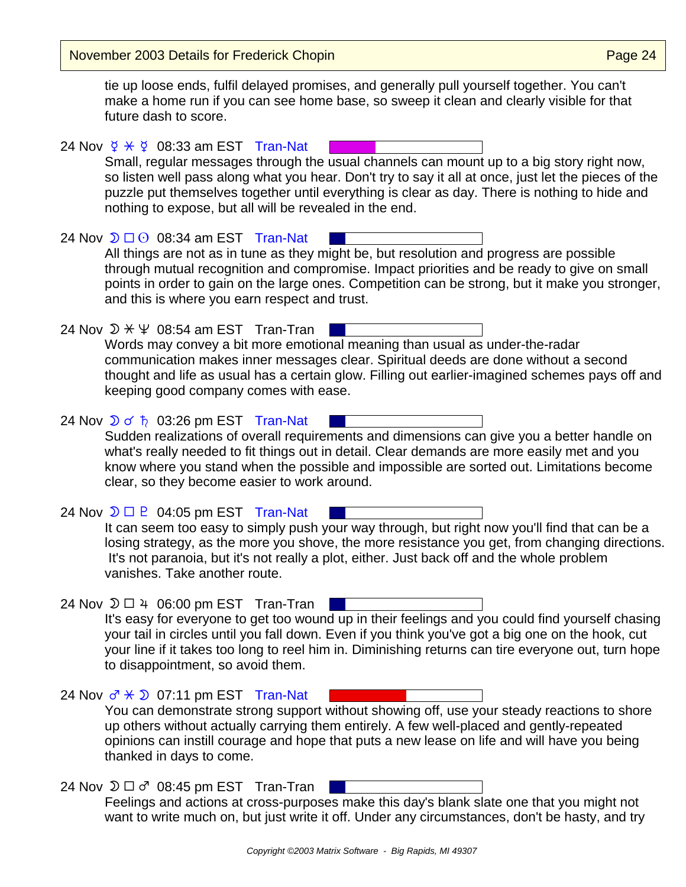November 2003 Details for Frederick Chopin **Page 24** November 2003 Details for Frederick Chopin

vanishes. Take another route.

tie up loose ends, fulfil delayed promises, and generally pull yourself together. You can't make a home run if you can see home base, so sweep it clean and clearly visible for that future dash to score.

24 Nov  $\frac{6}{7}$   $\div$   $\frac{6}{7}$  08:33 am EST Tran-Nat Small, regular messages through the usual channels can mount up to a big story right now, so listen well pass along what you hear. Don't try to say it all at once, just let the pieces of the puzzle put themselves together until everything is clear as day. There is nothing to hide and nothing to expose, but all will be revealed in the end.

24 Nov  $\mathfrak{D} \square$   $\odot$  08:34 am EST Tran-Nat All things are not as in tune as they might be, but resolution and progress are possible through mutual recognition and compromise. Impact priorities and be ready to give on small points in order to gain on the large ones. Competition can be strong, but it make you stronger, and this is where you earn respect and trust.

24 Nov  $\mathcal{D} \times \Psi$  08:54 am EST Tran-Tran | Words may convey a bit more emotional meaning than usual as under-the-radar communication makes inner messages clear. Spiritual deeds are done without a second thought and life as usual has a certain glow. Filling out earlier-imagined schemes pays off and keeping good company comes with ease.

24 Nov  $\sqrt{2}$  of  $\frac{1}{2}$  03:26 pm EST Tran-Nat Sudden realizations of overall requirements and dimensions can give you a better handle on what's really needed to fit things out in detail. Clear demands are more easily met and you know where you stand when the possible and impossible are sorted out. Limitations become clear, so they become easier to work around.

24 Nov  $\mathcal{D} \square \square$  04:05 pm EST Tran-Nat It can seem too easy to simply push your way through, but right now you'll find that can be a losing strategy, as the more you shove, the more resistance you get, from changing directions.

24 Nov  $\mathfrak{D} \square 4 06:00$  pm EST Tran-Tran It's easy for everyone to get too wound up in their feelings and you could find yourself chasing your tail in circles until you fall down. Even if you think you've got a big one on the hook, cut your line if it takes too long to reel him in. Diminishing returns can tire everyone out, turn hope to disappointment, so avoid them.

It's not paranoia, but it's not really a plot, either. Just back off and the whole problem

24 Nov  $\sigma^2 \times 2$  07:11 pm EST Tran-Nat You can demonstrate strong support without showing off, use your steady reactions to shore up others without actually carrying them entirely. A few well-placed and gently-repeated opinions can instill courage and hope that puts a new lease on life and will have you being thanked in days to come.

## 24 Nov  $\mathfrak{D} \square \sigma^r$  08:45 pm EST Tran-Tran Feelings and actions at cross-purposes make this day's blank slate one that you might not want to write much on, but just write it off. Under any circumstances, don't be hasty, and try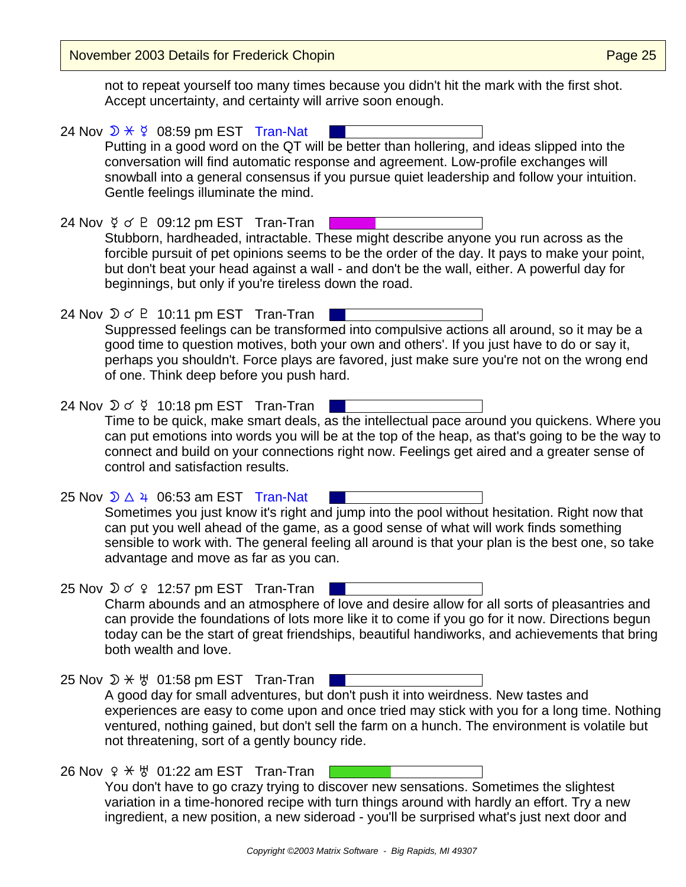November 2003 Details for Frederick Chopin **Page 25** November 2003 Details for Frederick Chopin

not to repeat yourself too many times because you didn't hit the mark with the first shot. Accept uncertainty, and certainty will arrive soon enough.

- 24 Nov  $\mathcal{D} \times \mathcal{G}$  08:59 pm EST Tran-Nat Putting in a good word on the QT will be better than hollering, and ideas slipped into the conversation will find automatic response and agreement. Low-profile exchanges will snowball into a general consensus if you pursue quiet leadership and follow your intuition. Gentle feelings illuminate the mind. 24 Nov  $\frac{6}{5}$  of P 09:12 pm EST Tran-Tran | Stubborn, hardheaded, intractable. These might describe anyone you run across as the forcible pursuit of pet opinions seems to be the order of the day. It pays to make your point, but don't beat your head against a wall - and don't be the wall, either. A powerful day for beginnings, but only if you're tireless down the road. 24 Nov  $\mathcal{D} \circ \mathcal{P}$  10:11 pm EST Tran-Tran Suppressed feelings can be transformed into compulsive actions all around, so it may be a good time to question motives, both your own and others'. If you just have to do or say it, perhaps you shouldn't. Force plays are favored, just make sure you're not on the wrong end of one. Think deep before you push hard. 24 Nov  $\mathfrak{D} \circ \mathfrak{P}$  10:18 pm EST Tran-Tran Time to be quick, make smart deals, as the intellectual pace around you quickens. Where you can put emotions into words you will be at the top of the heap, as that's going to be the way to connect and build on your connections right now. Feelings get aired and a greater sense of control and satisfaction results. 25 Nov  $\sqrt{24}$  06:53 am EST Tran-Nat Sometimes you just know it's right and jump into the pool without hesitation. Right now that can put you well ahead of the game, as a good sense of what will work finds something sensible to work with. The general feeling all around is that your plan is the best one, so take advantage and move as far as you can. 25 Nov  $\sqrt{2}$  o'  $\sqrt{2}$  12:57 pm EST Tran-Tran Charm abounds and an atmosphere of love and desire allow for all sorts of pleasantries and can provide the foundations of lots more like it to come if you go for it now. Directions begun today can be the start of great friendships, beautiful handiworks, and achievements that bring both wealth and love. 25 Nov  $\mathcal{D} \times \mathcal{Y}$  01:58 pm EST Tran-Tran A good day for small adventures, but don't push it into weirdness. New tastes and experiences are easy to come upon and once tried may stick with you for a long time. Nothing ventured, nothing gained, but don't sell the farm on a hunch. The environment is volatile but not threatening, sort of a gently bouncy ride. 26 Nov  $9 \times$   $\frac{11}{22}$  am EST Tran-Tran
	- You don't have to go crazy trying to discover new sensations. Sometimes the slightest variation in a time-honored recipe with turn things around with hardly an effort. Try a new ingredient, a new position, a new sideroad - you'll be surprised what's just next door and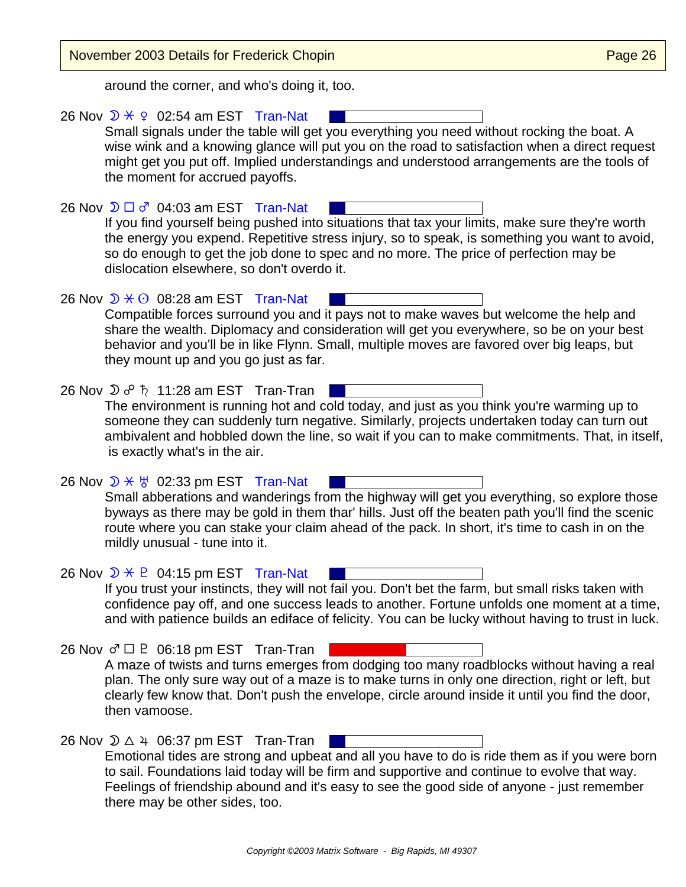| <b>November 2003 Details for Frederick Chopin</b>                                                                                                                                                                                                                                                                                                                                                      | Page 26 |
|--------------------------------------------------------------------------------------------------------------------------------------------------------------------------------------------------------------------------------------------------------------------------------------------------------------------------------------------------------------------------------------------------------|---------|
| around the corner, and who's doing it, too.                                                                                                                                                                                                                                                                                                                                                            |         |
| 26 Nov $\sqrt{2}$ $\div$ 9 02:54 am EST Tran-Nat<br>Small signals under the table will get you everything you need without rocking the boat. A<br>wise wink and a knowing glance will put you on the road to satisfaction when a direct request<br>might get you put off. Implied understandings and understood arrangements are the tools of<br>the moment for accrued payoffs.                       |         |
| 26 Nov $\mathfrak{D} \square \sigma^2$ 04:03 am EST Tran-Nat<br>If you find yourself being pushed into situations that tax your limits, make sure they're worth<br>the energy you expend. Repetitive stress injury, so to speak, is something you want to avoid,<br>so do enough to get the job done to spec and no more. The price of perfection may be<br>dislocation elsewhere, so don't overdo it. |         |
| 26 Nov $\mathfrak{D} \times \mathfrak{O}$ 08:28 am EST Tran-Nat<br>Compatible forces surround you and it pays not to make waves but welcome the help and<br>share the wealth. Diplomacy and consideration will get you everywhere, so be on your best<br>behavior and you'll be in like Flynn. Small, multiple moves are favored over big leaps, but<br>they mount up and you go just as far.          |         |
| 26 Nov $\mathfrak{D}$ $\sigma^0$ $\hbar$ 11:28 am EST Tran-Tran<br>The environment is running hot and cold today, and just as you think you're warming up to<br>someone they can suddenly turn negative. Similarly, projects undertaken today can turn out<br>ambivalent and hobbled down the line, so wait if you can to make commitments. That, in itself,<br>is exactly what's in the air.          |         |
| 26 Nov $\mathcal{D} \times \mathcal{B}$ 02:33 pm EST Tran-Nat<br>Small abberations and wanderings from the highway will get you everything, so explore those<br>byways as there may be gold in them thar' hills. Just off the beaten path you'll find the scenic<br>route where you can stake your claim ahead of the pack. In short, it's time to cash in on the<br>mildly unusual - tune into it.    |         |
| 26 Nov $\mathcal{D} \times \mathcal{D}$ 04:15 pm EST Tran-Nat<br>If you trust your instincts, they will not fail you. Don't bet the farm, but small risks taken with<br>confidence pay off, and one success leads to another. Fortune unfolds one moment at a time,<br>and with patience builds an ediface of felicity. You can be lucky without having to trust in luck.                              |         |
| 26 Nov $\sigma$ $\Box$ P 06:18 pm EST Tran-Tran<br>A maze of twists and turns emerges from dodging too many roadblocks without having a real<br>plan. The only sure way out of a maze is to make turns in only one direction, right or left, but<br>clearly few know that. Don't push the envelope, circle around inside it until you find the door,<br>then vamoose.                                  |         |
| 26 Nov $\mathfrak{D} \triangle 4$ 06:37 pm EST Tran-Tran<br>Emotional tides are strong and upbeat and all you have to do is ride them as if you were born<br>to sail. Foundations laid today will be firm and supportive and continue to evolve that way.<br>Feelings of friendship abound and it's easy to see the good side of anyone - just remember<br>there may be other sides, too.              |         |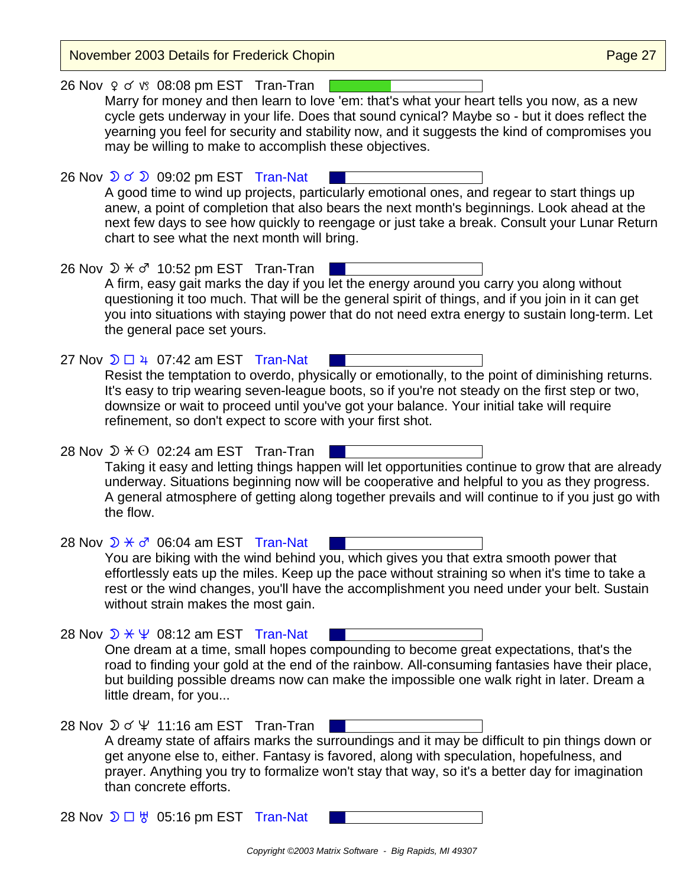November 2003 Details for Frederick Chopin **Page 27** November 2003 Details for Frederick Chopin 26 Nov  $9 \text{ o }$  is 08:08 pm EST Tran-Tran Marry for money and then learn to love 'em: that's what your heart tells you now, as a new cycle gets underway in your life. Does that sound cynical? Maybe so - but it does reflect the yearning you feel for security and stability now, and it suggests the kind of compromises you may be willing to make to accomplish these objectives. 26 Nov  $\sqrt{2}$  of  $\sqrt{2}$  09:02 pm EST Tran-Nat A good time to wind up projects, particularly emotional ones, and regear to start things up anew, a point of completion that also bears the next month's beginnings. Look ahead at the next few days to see how quickly to reengage or just take a break. Consult your Lunar Return chart to see what the next month will bring. 26 Nov  $\mathfrak{D} \times \sigma^r$  10:52 pm EST Tran-Tran A firm, easy gait marks the day if you let the energy around you carry you along without questioning it too much. That will be the general spirit of things, and if you join in it can get you into situations with staying power that do not need extra energy to sustain long-term. Let the general pace set yours. 27 Nov  $\mathfrak{D} \square 4$  07:42 am EST Tran-Nat Resist the temptation to overdo, physically or emotionally, to the point of diminishing returns. It's easy to trip wearing seven-league boots, so if you're not steady on the first step or two, downsize or wait to proceed until you've got your balance. Your initial take will require refinement, so don't expect to score with your first shot. 28 Nov  $\mathfrak{D} \times \Theta$  02:24 am EST Tran-Tran Taking it easy and letting things happen will let opportunities continue to grow that are already underway. Situations beginning now will be cooperative and helpful to you as they progress. A general atmosphere of getting along together prevails and will continue to if you just go with the flow. 28 Nov  $\mathcal{D} \times \sigma^r$  06:04 am EST Tran-Nat You are biking with the wind behind you, which gives you that extra smooth power that effortlessly eats up the miles. Keep up the pace without straining so when it's time to take a rest or the wind changes, you'll have the accomplishment you need under your belt. Sustain without strain makes the most gain. 28 Nov  $\mathcal{D} \times \Psi$  08:12 am EST Tran-Nat One dream at a time, small hopes compounding to become great expectations, that's the road to finding your gold at the end of the rainbow. All-consuming fantasies have their place, but building possible dreams now can make the impossible one walk right in later. Dream a little dream, for you... 28 Nov  $\mathcal{D} \circ \Psi$  11:16 am EST Tran-Tran and the contract A dreamy state of affairs marks the surroundings and it may be difficult to pin things down or get anyone else to, either. Fantasy is favored, along with speculation, hopefulness, and prayer. Anything you try to formalize won't stay that way, so it's a better day for imagination than concrete efforts. 28 Nov  $\mathfrak{D} \square \, \forall$  05:16 pm EST Tran-Nat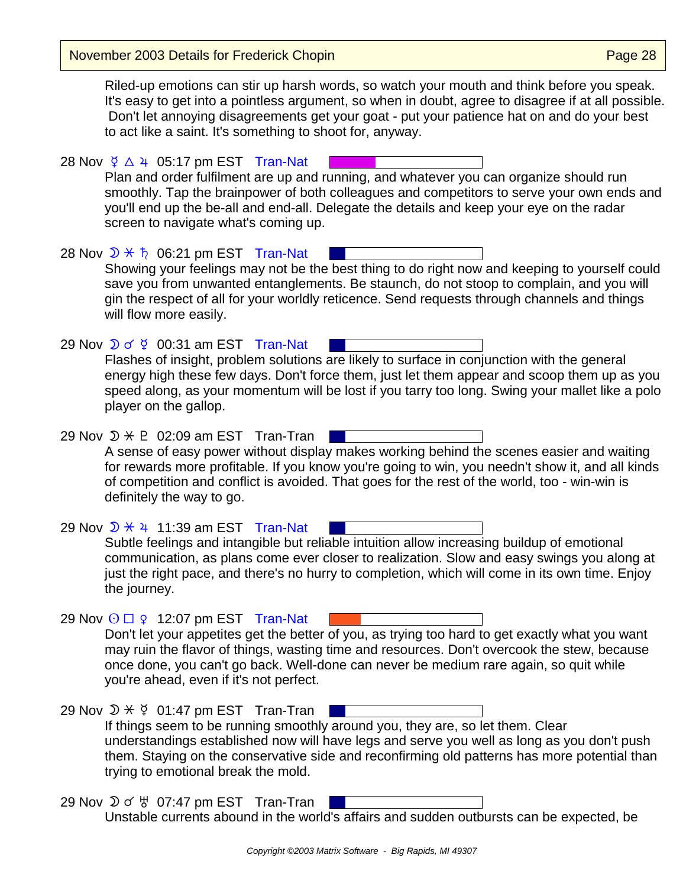November 2003 Details for Frederick Chopin

Riled-up emotions can stir up harsh words, so watch your mouth and think before you speak. It's easy to get into a pointless argument, so when in doubt, agree to disagree if at all possible. Don't let annoying disagreements get your goat - put your patience hat on and do your best to act like a saint. It's something to shoot for, anyway.

28 Nov  $\frac{6}{7}$   $\triangle$   $\frac{4}{7}$  05:17 pm EST Tran-Nat Plan and order fulfilment are up and running, and whatever you can organize should run smoothly. Tap the brainpower of both colleagues and competitors to serve your own ends and you'll end up the be-all and end-all. Delegate the details and keep your eye on the radar screen to navigate what's coming up.

28 Nov  $\mathcal{D} \times \mathfrak{h}$  06:21 pm EST Tran-Nat Showing your feelings may not be the best thing to do right now and keeping to yourself could save you from unwanted entanglements. Be staunch, do not stoop to complain, and you will gin the respect of all for your worldly reticence. Send requests through channels and things will flow more easily.

- 29 Nov  $\sqrt{2}$  of  $\frac{6}{7}$  00:31 am EST Tran-Nat Flashes of insight, problem solutions are likely to surface in conjunction with the general energy high these few days. Don't force them, just let them appear and scoop them up as you speed along, as your momentum will be lost if you tarry too long. Swing your mallet like a polo player on the gallop.
- 29 Nov  $\mathcal{D} \times \mathbb{P}$  02:09 am EST Tran-Tran A sense of easy power without display makes working behind the scenes easier and waiting for rewards more profitable. If you know you're going to win, you needn't show it, and all kinds of competition and conflict is avoided. That goes for the rest of the world, too - win-win is definitely the way to go.

29 Nov  $\sqrt{2}$   $\div$  4 11:39 am EST Tran-Nat Subtle feelings and intangible but reliable intuition allow increasing buildup of emotional communication, as plans come ever closer to realization. Slow and easy swings you along at just the right pace, and there's no hurry to completion, which will come in its own time. Enjoy the journey.

29 Nov  $\odot$   $\Box$   $\circ$  12:07 pm EST Tran-Nat Don't let your appetites get the better of you, as trying too hard to get exactly what you want may ruin the flavor of things, wasting time and resources. Don't overcook the stew, because once done, you can't go back. Well-done can never be medium rare again, so quit while you're ahead, even if it's not perfect.

- 29 Nov  $\mathcal{D} \times \mathcal{G}$  01:47 pm EST Tran-Tran If things seem to be running smoothly around you, they are, so let them. Clear understandings established now will have legs and serve you well as long as you don't push them. Staying on the conservative side and reconfirming old patterns has more potential than trying to emotional break the mold.
- 29 Nov  $\mathfrak{D} \circ \mathfrak{B}$  07:47 pm EST Tran-Tran Unstable currents abound in the world's affairs and sudden outbursts can be expected, be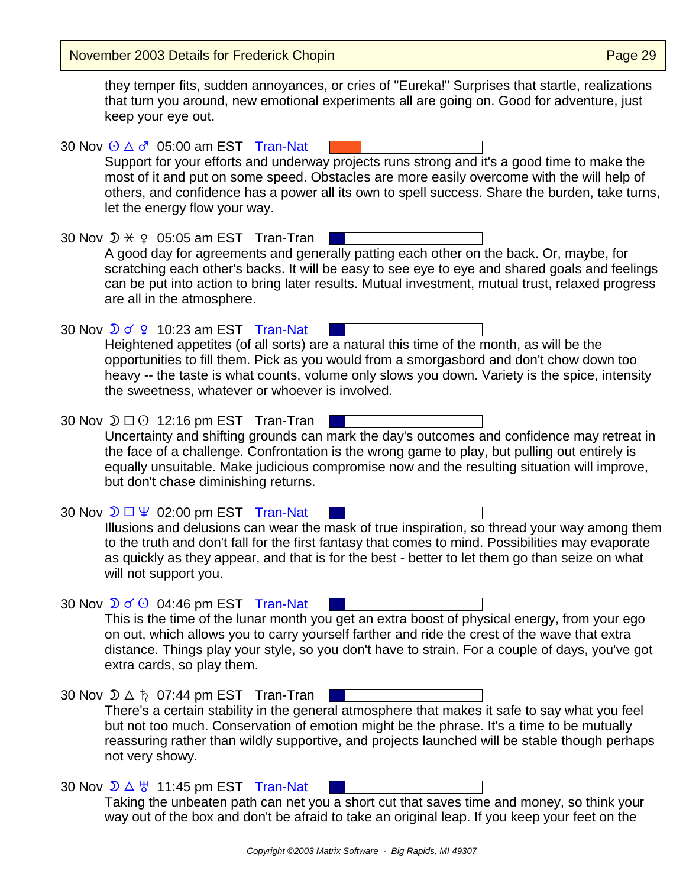November 2003 Details for Frederick Chopin **Page 29** November 2003 Details for Frederick Chopin

they temper fits, sudden annoyances, or cries of "Eureka!" Surprises that startle, realizations that turn you around, new emotional experiments all are going on. Good for adventure, just keep your eye out.

30 Nov  $\odot$   $\Delta$   $\sigma$ <sup>7</sup> 05:00 am EST Tran-Nat Support for your efforts and underway projects runs strong and it's a good time to make the most of it and put on some speed. Obstacles are more easily overcome with the will help of others, and confidence has a power all its own to spell success. Share the burden, take turns, let the energy flow your way.

30 Nov  $\mathcal{D} \times \mathcal{Q}$  05:05 am EST Tran-Tran | A good day for agreements and generally patting each other on the back. Or, maybe, for scratching each other's backs. It will be easy to see eye to eye and shared goals and feelings can be put into action to bring later results. Mutual investment, mutual trust, relaxed progress are all in the atmosphere.

30 Nov  $\sqrt{2}$  o'  $\sqrt{2}$  10:23 am EST Tran-Nat Heightened appetites (of all sorts) are a natural this time of the month, as will be the opportunities to fill them. Pick as you would from a smorgasbord and don't chow down too heavy -- the taste is what counts, volume only slows you down. Variety is the spice, intensity the sweetness, whatever or whoever is involved.

30 Nov  $\mathfrak{D} \square \odot 12:16$  pm EST Tran-Tran | Uncertainty and shifting grounds can mark the day's outcomes and confidence may retreat in the face of a challenge. Confrontation is the wrong game to play, but pulling out entirely is equally unsuitable. Make judicious compromise now and the resulting situation will improve, but don't chase diminishing returns.

30 Nov  $\mathfrak{D} \square \Psi$  02:00 pm EST Tran-Nat Illusions and delusions can wear the mask of true inspiration, so thread your way among them to the truth and don't fall for the first fantasy that comes to mind. Possibilities may evaporate as quickly as they appear, and that is for the best - better to let them go than seize on what will not support you.

30 Nov  $\sqrt{2}$  of  $\odot$  04:46 pm EST Tran-Nat This is the time of the lunar month you get an extra boost of physical energy, from your ego on out, which allows you to carry yourself farther and ride the crest of the wave that extra distance. Things play your style, so you don't have to strain. For a couple of days, you've got extra cards, so play them.

30 Nov  $\mathcal{D} \triangle \hbar$  07:44 pm EST Tran-Tran There's a certain stability in the general atmosphere that makes it safe to say what you feel but not too much. Conservation of emotion might be the phrase. It's a time to be mutually reassuring rather than wildly supportive, and projects launched will be stable though perhaps not very showy.

30 Nov  $\mathcal{D} \triangle \forall$  11:45 pm EST Tran-Nat Taking the unbeaten path can net you a short cut that saves time and money, so think your way out of the box and don't be afraid to take an original leap. If you keep your feet on the